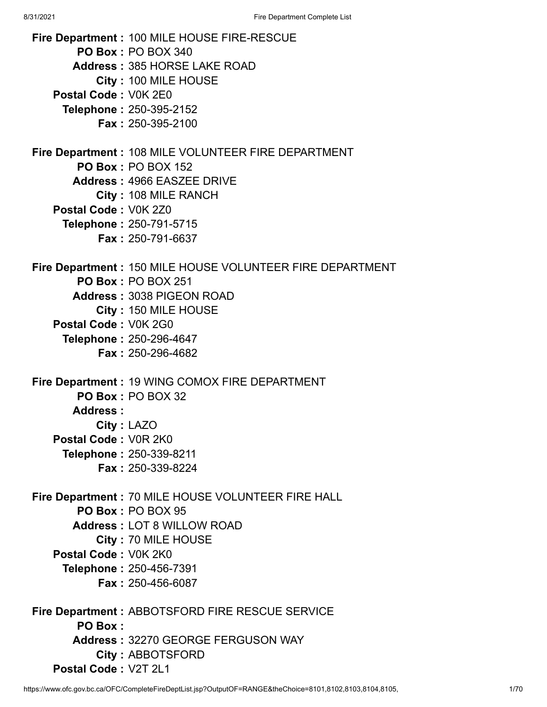**Fire Department :** 100 MILE HOUSE FIRE-RESCUE **PO Box :** PO BOX 340 **Address :** 385 HORSE LAKE ROAD **City :** 100 MILE HOUSE **Postal Code :** V0K 2E0 **Telephone :** 250-395-2152 **Fax :** 250-395-2100 **Fire Department :** 108 MILE VOLUNTEER FIRE DEPARTMENT **PO Box :** PO BOX 152 **Address :** 4966 EASZEE DRIVE **City :** 108 MILE RANCH **Postal Code :** V0K 2Z0 **Telephone :** 250-791-5715 **Fax :** 250-791-6637 **Fire Department :** 150 MILE HOUSE VOLUNTEER FIRE DEPARTMENT **PO Box :** PO BOX 251 **Address :** 3038 PIGEON ROAD **City :** 150 MILE HOUSE **Postal Code :** V0K 2G0 **Telephone :** 250-296-4647 **Fax :** 250-296-4682 **Fire Department :** 19 WING COMOX FIRE DEPARTMENT **PO Box :** PO BOX 32 **Address : City :** LAZO **Postal Code :** V0R 2K0 **Telephone :** 250-339-8211 **Fax :** 250-339-8224 **Fire Department :** 70 MILE HOUSE VOLUNTEER FIRE HALL **PO Box :** PO BOX 95 **Address :** LOT 8 WILLOW ROAD **City :** 70 MILE HOUSE **Postal Code :** V0K 2K0 **Telephone :** 250-456-7391 **Fax :** 250-456-6087 **Fire Department :** ABBOTSFORD FIRE RESCUE SERVICE **PO Box : Address :** 32270 GEORGE FERGUSON WAY

- **City :** ABBOTSFORD
- **Postal Code :** V2T 2L1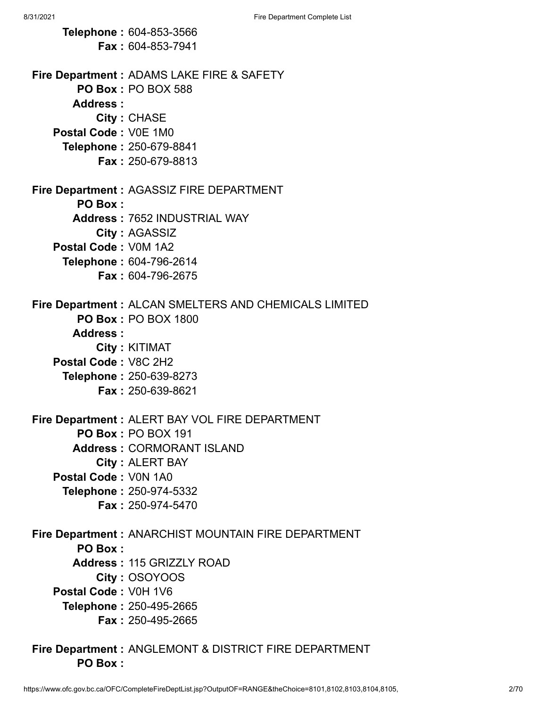**Telephone :** 604-853-3566 **Fax :** 604-853-7941 **Fire Department :** ADAMS LAKE FIRE & SAFETY **PO Box :** PO BOX 588 **Address : City :** CHASE **Postal Code :** V0E 1M0 **Telephone :** 250-679-8841 **Fax :** 250-679-8813 **Fire Department :** AGASSIZ FIRE DEPARTMENT **PO Box : Address :** 7652 INDUSTRIAL WAY **City :** AGASSIZ **Postal Code :** V0M 1A2 **Telephone :** 604-796-2614 **Fax :** 604-796-2675 **Fire Department :** ALCAN SMELTERS AND CHEMICALS LIMITED **PO Box :** PO BOX 1800 **Address : City :** KITIMAT **Postal Code :** V8C 2H2 **Telephone :** 250-639-8273 **Fax :** 250-639-8621 **Fire Department :** ALERT BAY VOL FIRE DEPARTMENT **PO Box :** PO BOX 191 **Address :** CORMORANT ISLAND **City :** ALERT BAY **Postal Code :** V0N 1A0 **Telephone :** 250-974-5332 **Fax :** 250-974-5470 **Fire Department :** ANARCHIST MOUNTAIN FIRE DEPARTMENT **PO Box : Address :** 115 GRIZZLY ROAD **City :** OSOYOOS **Postal Code :** V0H 1V6 **Telephone :** 250-495-2665 **Fax :** 250-495-2665

**Fire Department :** ANGLEMONT & DISTRICT FIRE DEPARTMENT **PO Box :**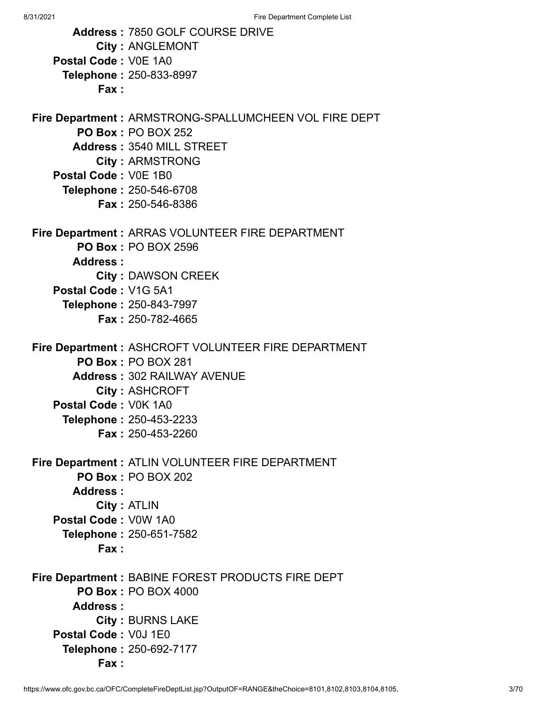|                                | Address: 7850 GOLF COURSE DRIVE                       |
|--------------------------------|-------------------------------------------------------|
|                                | <b>City: ANGLEMONT</b>                                |
| Postal Code: V0E 1A0           |                                                       |
| Telephone: 250-833-8997        |                                                       |
| Fax:                           |                                                       |
|                                | Fire Department: ARMSTRONG-SPALLUMCHEEN VOL FIRE DEPT |
|                                | <b>PO Box: PO BOX 252</b>                             |
|                                | Address: 3540 MILL STREET                             |
|                                | <b>City: ARMSTRONG</b>                                |
| Postal Code: V0E 1B0           |                                                       |
| <b>Telephone: 250-546-6708</b> |                                                       |
|                                | <b>Fax: 250-546-8386</b>                              |
|                                | Fire Department : ARRAS VOLUNTEER FIRE DEPARTMENT     |
|                                | <b>PO Box: PO BOX 2596</b>                            |
| Address:                       |                                                       |
|                                | <b>City: DAWSON CREEK</b>                             |
| Postal Code: V1G 5A1           |                                                       |
| Telephone: 250-843-7997        |                                                       |
|                                | <b>Fax: 250-782-4665</b>                              |
|                                | Fire Department : ASHCROFT VOLUNTEER FIRE DEPARTMENT  |
| <b>PO Box: PO BOX 281</b>      |                                                       |
|                                | <b>Address: 302 RAILWAY AVENUE</b>                    |
|                                | <b>City: ASHCROFT</b>                                 |
| Postal Code: V0K 1A0           |                                                       |
| Telephone: 250-453-2233        |                                                       |
|                                | <b>Fax: 250-453-2260</b>                              |
|                                | Fire Department : ATLIN VOLUNTEER FIRE DEPARTMENT     |
|                                | <b>PO Box: PO BOX 202</b>                             |
| Address:                       |                                                       |
| <b>City: ATLIN</b>             |                                                       |
| Postal Code: V0W 1A0           |                                                       |
| Telephone: 250-651-7582        |                                                       |
| Fax:                           |                                                       |
|                                | Fire Department : BABINE FOREST PRODUCTS FIRE DEPT    |
|                                | <b>PO Box: PO BOX 4000</b>                            |
| Address:                       |                                                       |
|                                | <b>City: BURNS LAKE</b>                               |
| Postal Code: V0J 1E0           |                                                       |
| <b>Telephone: 250-692-7177</b> |                                                       |
| Fax:                           |                                                       |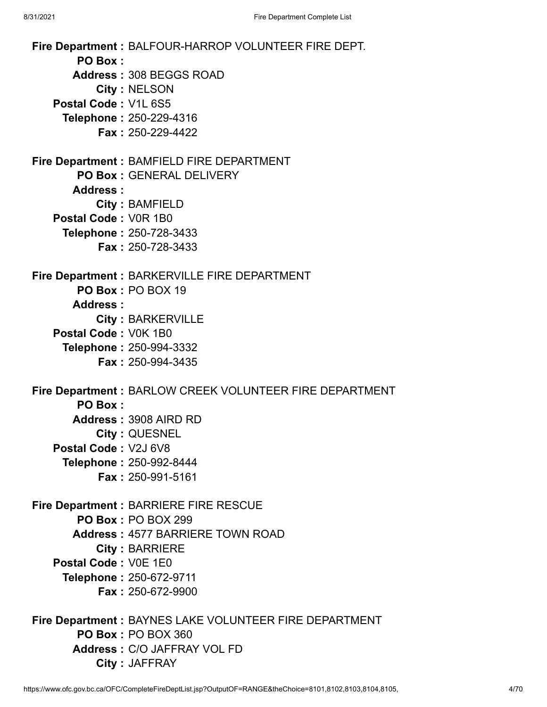**Fire Department :** BALFOUR-HARROP VOLUNTEER FIRE DEPT. **PO Box : Address :** 308 BEGGS ROAD **City :** NELSON **Postal Code :** V1L 6S5 **Telephone :** 250-229-4316 **Fax :** 250-229-4422 **Fire Department :** BAMFIELD FIRE DEPARTMENT **PO Box :** GENERAL DELIVERY **Address : City :** BAMFIELD **Postal Code :** V0R 1B0 **Telephone :** 250-728-3433 **Fax :** 250-728-3433 **Fire Department :** BARKERVILLE FIRE DEPARTMENT **PO Box :** PO BOX 19 **Address : City :** BARKERVILLE **Postal Code :** V0K 1B0 **Telephone :** 250-994-3332 **Fax :** 250-994-3435 **Fire Department :** BARLOW CREEK VOLUNTEER FIRE DEPARTMENT **PO Box : Address :** 3908 AIRD RD **City :** QUESNEL **Postal Code :** V2J 6V8 **Telephone :** 250-992-8444 **Fax :** 250-991-5161 **Fire Department :** BARRIERE FIRE RESCUE **PO Box :** PO BOX 299 **Address :** 4577 BARRIERE TOWN ROAD **City :** BARRIERE **Postal Code :** V0E 1E0 **Telephone :** 250-672-9711 **Fax :** 250-672-9900 **Fire Department :** BAYNES LAKE VOLUNTEER FIRE DEPARTMENT **PO Box :** PO BOX 360 **Address :** C/O JAFFRAY VOL FD

**City :** JAFFRAY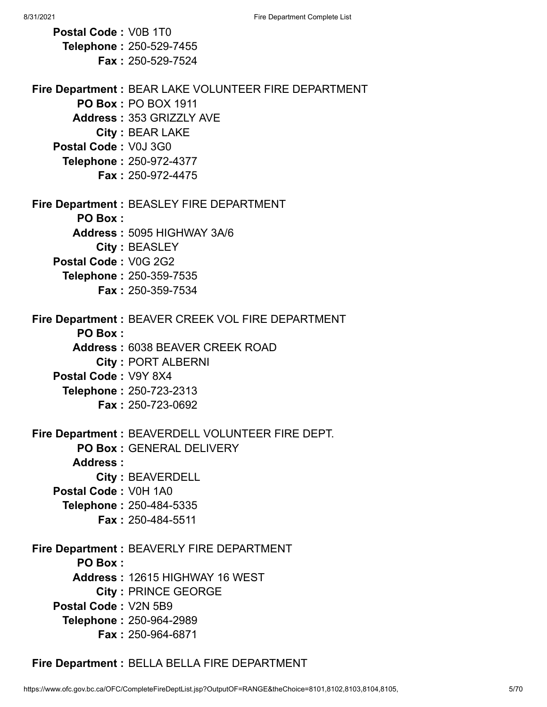| Postal Code: V0B 1T0                                  |
|-------------------------------------------------------|
| Telephone: 250-529-7455                               |
| <b>Fax: 250-529-7524</b>                              |
|                                                       |
| Fire Department : BEAR LAKE VOLUNTEER FIRE DEPARTMENT |
| <b>PO Box: PO BOX 1911</b>                            |
| <b>Address: 353 GRIZZLY AVE</b>                       |
| City: BEAR LAKE                                       |
| Postal Code: V0J 3G0                                  |
| Telephone: 250-972-4377                               |
| <b>Fax: 250-972-4475</b>                              |
| <b>Fire Department: BEASLEY FIRE DEPARTMENT</b>       |
| <b>PO Box:</b>                                        |
| Address: 5095 HIGHWAY 3A/6                            |
|                                                       |
| City: BEASLEY<br>Postal Code: V0G 2G2                 |
|                                                       |
| <b>Telephone: 250-359-7535</b>                        |
| <b>Fax: 250-359-7534</b>                              |
| Fire Department : BEAVER CREEK VOL FIRE DEPARTMENT    |
| <b>PO Box:</b>                                        |
| <b>Address: 6038 BEAVER CREEK ROAD</b>                |
| <b>City: PORT ALBERNI</b>                             |
| Postal Code: V9Y 8X4                                  |
| Telephone: 250-723-2313                               |
| <b>Fax: 250-723-0692</b>                              |
|                                                       |
| Fire Department : BEAVERDELL VOLUNTEER FIRE DEPT.     |
| PO Box: GENERAL DELIVERY                              |
| Address:                                              |
| <b>City: BEAVERDELL</b>                               |
| Postal Code: V0H 1A0                                  |
| Telephone: 250-484-5335                               |
| Fax: 250-484-5511                                     |
| Fire Department : BEAVERLY FIRE DEPARTMENT            |
| <b>PO Box:</b>                                        |
| Address: 12615 HIGHWAY 16 WEST                        |
| <b>City: PRINCE GEORGE</b>                            |
| Postal Code: V2N 5B9                                  |
|                                                       |
| Telephone: 250-964-2989                               |
| Fax: 250-964-6871                                     |

**Fire Department :** BELLA BELLA FIRE DEPARTMENT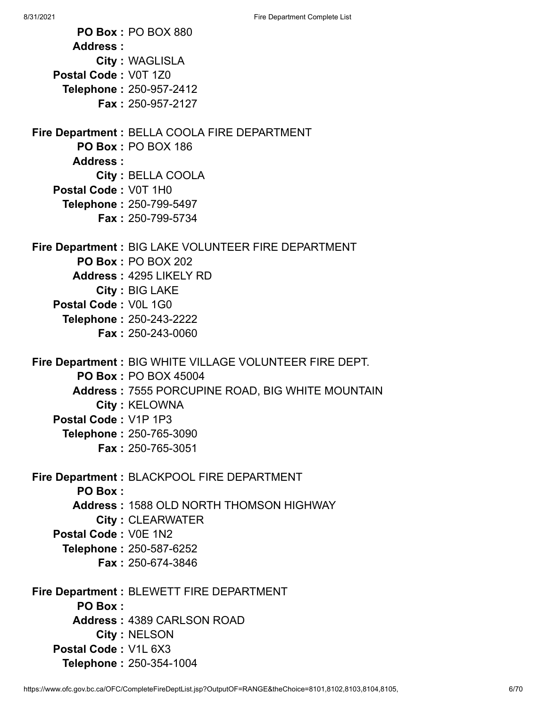**PO Box :** PO BOX 880 **Address : City :** WAGLISLA **Postal Code :** V0T 1Z0 **Telephone :** 250-957-2412 **Fax :** 250-957-2127 **Fire Department :** BELLA COOLA FIRE DEPARTMENT **PO Box :** PO BOX 186 **Address : City :** BELLA COOLA **Postal Code :** V0T 1H0 **Telephone :** 250-799-5497 **Fax :** 250-799-5734 **Fire Department :** BIG LAKE VOLUNTEER FIRE DEPARTMENT **PO Box :** PO BOX 202 **Address :** 4295 LIKELY RD **City :** BIG LAKE **Postal Code :** V0L 1G0 **Telephone :** 250-243-2222 **Fax :** 250-243-0060 **Fire Department :** BIG WHITE VILLAGE VOLUNTEER FIRE DEPT. **PO Box :** PO BOX 45004 **Address :** 7555 PORCUPINE ROAD, BIG WHITE MOUNTAIN **City :** KELOWNA **Postal Code :** V1P 1P3 **Telephone :** 250-765-3090 **Fax :** 250-765-3051 **Fire Department :** BLACKPOOL FIRE DEPARTMENT **PO Box : Address :** 1588 OLD NORTH THOMSON HIGHWAY **City :** CLEARWATER **Postal Code :** V0E 1N2 **Telephone :** 250-587-6252 **Fax :** 250-674-3846 **Fire Department :** BLEWETT FIRE DEPARTMENT **PO Box : Address :** 4389 CARLSON ROAD **City :** NELSON **Postal Code :** V1L 6X3 **Telephone :** 250-354-1004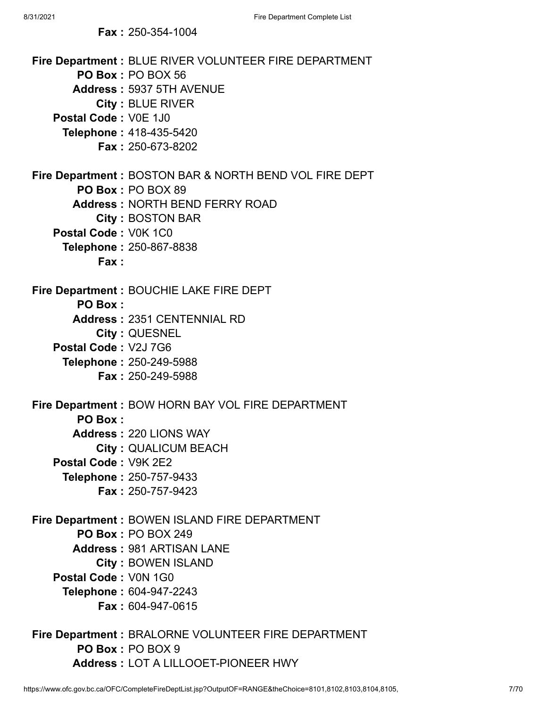|  | <b>Fax: 250-354-1004</b> |
|--|--------------------------|
|--|--------------------------|

| Fire Department : BLUE RIVER VOLUNTEER FIRE DEPARTMENT<br>PO Box: PO BOX 56<br>Address: 5937 5TH AVENUE<br><b>City: BLUE RIVER</b><br>Postal Code: V0E 1J0<br>Telephone: 418-435-5420<br><b>Fax: 250-673-8202</b> |
|-------------------------------------------------------------------------------------------------------------------------------------------------------------------------------------------------------------------|
| Fire Department: BOSTON BAR & NORTH BEND VOL FIRE DEPT                                                                                                                                                            |
| PO Box: PO BOX 89                                                                                                                                                                                                 |
| <b>Address: NORTH BEND FERRY ROAD</b>                                                                                                                                                                             |
| <b>City: BOSTON BAR</b>                                                                                                                                                                                           |
| Postal Code: V0K 1C0                                                                                                                                                                                              |
| Telephone: 250-867-8838                                                                                                                                                                                           |
| Fax:                                                                                                                                                                                                              |
| Fire Department : BOUCHIE LAKE FIRE DEPT                                                                                                                                                                          |
| <b>PO Box:</b>                                                                                                                                                                                                    |
| Address: 2351 CENTENNIAL RD                                                                                                                                                                                       |
| City: QUESNEL                                                                                                                                                                                                     |
| Postal Code: V2J 7G6                                                                                                                                                                                              |
| Telephone: 250-249-5988                                                                                                                                                                                           |
| <b>Fax: 250-249-5988</b>                                                                                                                                                                                          |
| Fire Department: BOW HORN BAY VOL FIRE DEPARTMENT<br><b>PO Box:</b>                                                                                                                                               |
| <b>Address: 220 LIONS WAY</b>                                                                                                                                                                                     |
| <b>City: QUALICUM BEACH</b>                                                                                                                                                                                       |
| Postal Code: V9K 2E2                                                                                                                                                                                              |
| Telephone: 250-757-9433                                                                                                                                                                                           |
| <b>Fax: 250-757-9423</b>                                                                                                                                                                                          |
| Fire Department : BOWEN ISLAND FIRE DEPARTMENT                                                                                                                                                                    |
| <b>PO Box: PO BOX 249</b>                                                                                                                                                                                         |
| <b>Address: 981 ARTISAN LANE</b>                                                                                                                                                                                  |
| <b>City: BOWEN ISLAND</b>                                                                                                                                                                                         |
| Postal Code: V0N 1G0                                                                                                                                                                                              |
| Telephone: 604-947-2243                                                                                                                                                                                           |
| <b>Fax: 604-947-0615</b>                                                                                                                                                                                          |
| Fire Department : BRALORNE VOLUNTEER FIRE DEPARTMENT                                                                                                                                                              |

**Address :** LOT A LILLOOET-PIONEER HWY

**PO Box :** PO BOX 9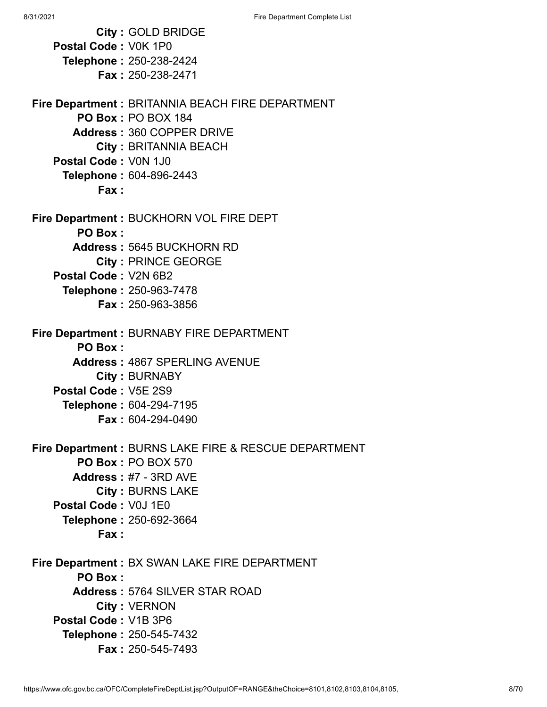**City :** GOLD BRIDGE **Postal Code :** V0K 1P0 **Telephone :** 250-238-2424 **Fax :** 250-238-2471 **Fire Department :** BRITANNIA BEACH FIRE DEPARTMENT **PO Box :** PO BOX 184 **Address :** 360 COPPER DRIVE **City :** BRITANNIA BEACH **Postal Code :** V0N 1J0 **Telephone :** 604-896-2443 **Fax : Fire Department :** BUCKHORN VOL FIRE DEPT **PO Box : Address :** 5645 BUCKHORN RD **City :** PRINCE GEORGE **Postal Code :** V2N 6B2 **Telephone :** 250-963-7478 **Fax :** 250-963-3856 **Fire Department :** BURNABY FIRE DEPARTMENT **PO Box : Address :** 4867 SPERLING AVENUE **City :** BURNABY **Postal Code :** V5E 2S9 **Telephone :** 604-294-7195 **Fax :** 604-294-0490 **Fire Department :** BURNS LAKE FIRE & RESCUE DEPARTMENT **PO Box :** PO BOX 570 **Address :** #7 - 3RD AVE **City :** BURNS LAKE **Postal Code :** V0J 1E0 **Telephone :** 250-692-3664 **Fax : Fire Department :** BX SWAN LAKE FIRE DEPARTMENT **PO Box : Address :** 5764 SILVER STAR ROAD **City :** VERNON **Postal Code :** V1B 3P6 **Telephone :** 250-545-7432 **Fax :** 250-545-7493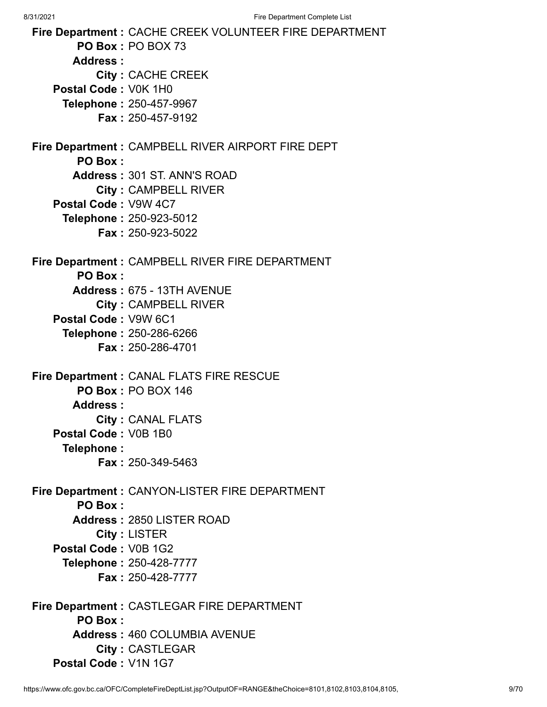8/31/2021 Fire Department Complete List **Fire Department :** CACHE CREEK VOLUNTEER FIRE DEPARTMENT **PO Box :** PO BOX 73 **Address : City :** CACHE CREEK **Postal Code :** V0K 1H0 **Telephone :** 250-457-9967 **Fax :** 250-457-9192 **Fire Department :** CAMPBELL RIVER AIRPORT FIRE DEPT **PO Box : Address :** 301 ST. ANN'S ROAD **City :** CAMPBELL RIVER **Postal Code :** V9W 4C7 **Telephone :** 250-923-5012 **Fax :** 250-923-5022 **Fire Department :** CAMPBELL RIVER FIRE DEPARTMENT **PO Box : Address :** 675 - 13TH AVENUE **City :** CAMPBELL RIVER **Postal Code :** V9W 6C1 **Telephone :** 250-286-6266 **Fax :** 250-286-4701 **Fire Department :** CANAL FLATS FIRE RESCUE **PO Box :** PO BOX 146 **Address : City :** CANAL FLATS **Postal Code :** V0B 1B0 **Telephone : Fax :** 250-349-5463 **Fire Department :** CANYON-LISTER FIRE DEPARTMENT **PO Box : Address :** 2850 LISTER ROAD **City :** LISTER **Postal Code :** V0B 1G2 **Telephone :** 250-428-7777 **Fax :** 250-428-7777 **Fire Department :** CASTLEGAR FIRE DEPARTMENT **PO Box : Address :** 460 COLUMBIA AVENUE **City :** CASTLEGAR

**Postal Code :** V1N 1G7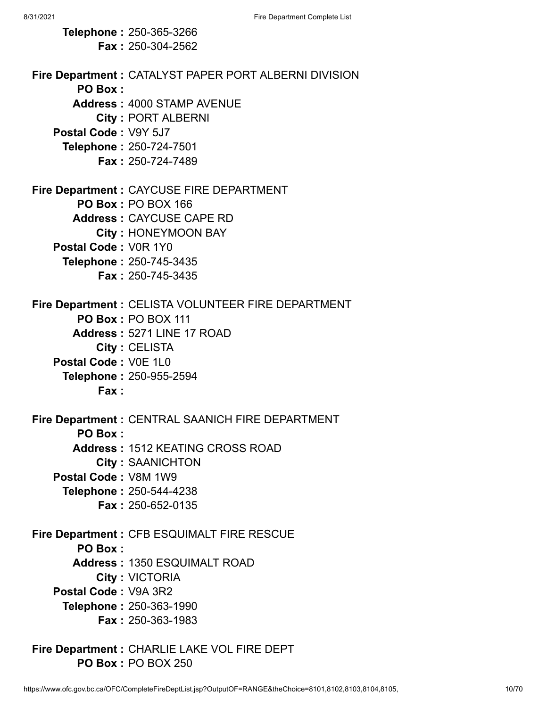**Telephone :** 250-365-3266 **Fax :** 250-304-2562 **Fire Department :** CATALYST PAPER PORT ALBERNI DIVISION **PO Box : Address :** 4000 STAMP AVENUE **City :** PORT ALBERNI **Postal Code :** V9Y 5J7 **Telephone :** 250-724-7501 **Fax :** 250-724-7489 **Fire Department :** CAYCUSE FIRE DEPARTMENT **PO Box :** PO BOX 166 **Address :** CAYCUSE CAPE RD **City :** HONEYMOON BAY **Postal Code :** V0R 1Y0 **Telephone :** 250-745-3435 **Fax :** 250-745-3435 **Fire Department :** CELISTA VOLUNTEER FIRE DEPARTMENT **PO Box :** PO BOX 111 **Address :** 5271 LINE 17 ROAD **City :** CELISTA **Postal Code :** V0E 1L0 **Telephone :** 250-955-2594 **Fax : Fire Department :** CENTRAL SAANICH FIRE DEPARTMENT **PO Box : Address :** 1512 KEATING CROSS ROAD **City :** SAANICHTON **Postal Code :** V8M 1W9 **Telephone :** 250-544-4238 **Fax :** 250-652-0135 **Fire Department :** CFB ESQUIMALT FIRE RESCUE **PO Box : Address :** 1350 ESQUIMALT ROAD **City :** VICTORIA **Postal Code :** V9A 3R2 **Telephone :** 250-363-1990 **Fax :** 250-363-1983 **Fire Department :** CHARLIE LAKE VOL FIRE DEPT

**PO Box :** PO BOX 250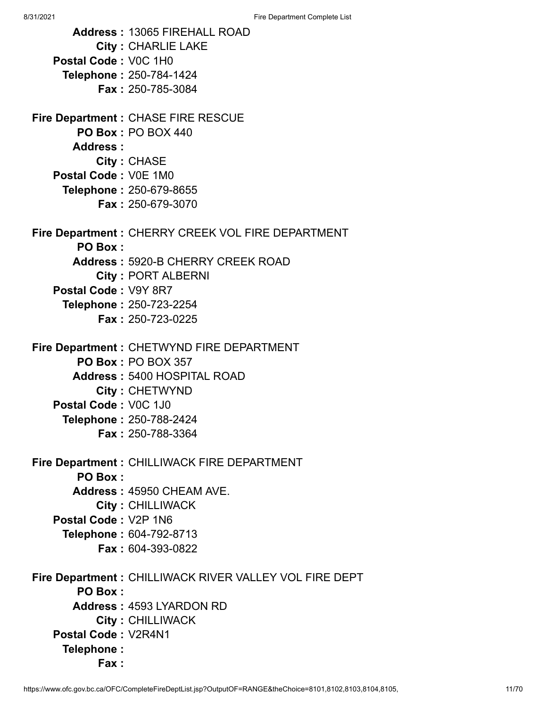**Address :** 13065 FIREHALL ROAD **City :** CHARLIE LAKE **Postal Code :** V0C 1H0 **Telephone :** 250-784-1424 **Fax :** 250-785-3084 **Fire Department :** CHASE FIRE RESCUE **PO Box :** PO BOX 440 **Address : City :** CHASE **Postal Code :** V0E 1M0 **Telephone :** 250-679-8655 **Fax :** 250-679-3070 **Fire Department :** CHERRY CREEK VOL FIRE DEPARTMENT **PO Box : Address :** 5920-B CHERRY CREEK ROAD **City :** PORT ALBERNI **Postal Code :** V9Y 8R7 **Telephone :** 250-723-2254 **Fax :** 250-723-0225 **Fire Department :** CHETWYND FIRE DEPARTMENT **PO Box :** PO BOX 357 **Address :** 5400 HOSPITAL ROAD **City :** CHETWYND **Postal Code :** V0C 1J0 **Telephone :** 250-788-2424 **Fax :** 250-788-3364 **Fire Department :** CHILLIWACK FIRE DEPARTMENT **PO Box : Address :** 45950 CHEAM AVE. **City :** CHILLIWACK **Postal Code :** V2P 1N6 **Telephone :** 604-792-8713 **Fax :** 604-393-0822 **Fire Department :** CHILLIWACK RIVER VALLEY VOL FIRE DEPT **PO Box : Address :** 4593 LYARDON RD **City :** CHILLIWACK **Postal Code :** V2R4N1 **Telephone : Fax :**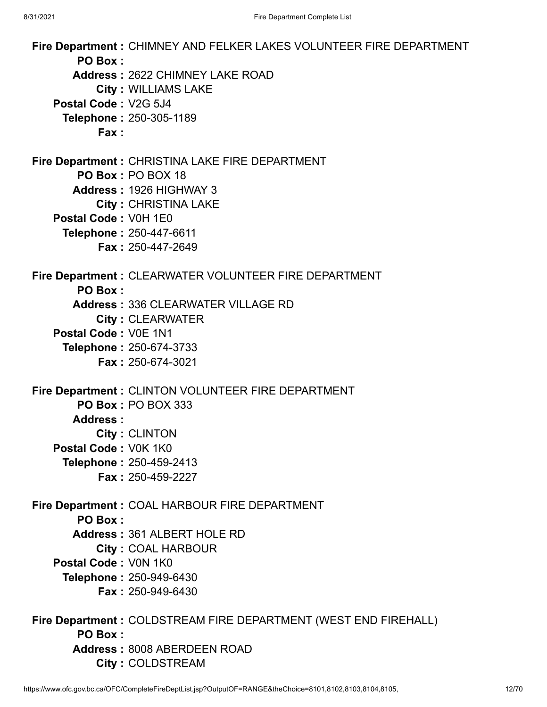**Fire Department :** CHIMNEY AND FELKER LAKES VOLUNTEER FIRE DEPARTMENT **PO Box : Address :** 2622 CHIMNEY LAKE ROAD **City :** WILLIAMS LAKE **Postal Code :** V2G 5J4 **Telephone :** 250-305-1189 **Fax : Fire Department :** CHRISTINA LAKE FIRE DEPARTMENT **PO Box :** PO BOX 18 **Address :** 1926 HIGHWAY 3 **City :** CHRISTINA LAKE **Postal Code :** V0H 1E0 **Telephone :** 250-447-6611 **Fax :** 250-447-2649 **Fire Department :** CLEARWATER VOLUNTEER FIRE DEPARTMENT **PO Box : Address :** 336 CLEARWATER VILLAGE RD **City :** CLEARWATER **Postal Code :** V0E 1N1 **Telephone :** 250-674-3733 **Fax :** 250-674-3021 **Fire Department :** CLINTON VOLUNTEER FIRE DEPARTMENT **PO Box :** PO BOX 333 **Address : City :** CLINTON **Postal Code :** V0K 1K0 **Telephone :** 250-459-2413 **Fax :** 250-459-2227 **Fire Department :** COAL HARBOUR FIRE DEPARTMENT **PO Box : Address :** 361 ALBERT HOLE RD **City :** COAL HARBOUR **Postal Code :** V0N 1K0 **Telephone :** 250-949-6430 **Fax :** 250-949-6430 **Fire Department :** COLDSTREAM FIRE DEPARTMENT (WEST END FIREHALL) **PO Box : Address :** 8008 ABERDEEN ROAD **City :** COLDSTREAM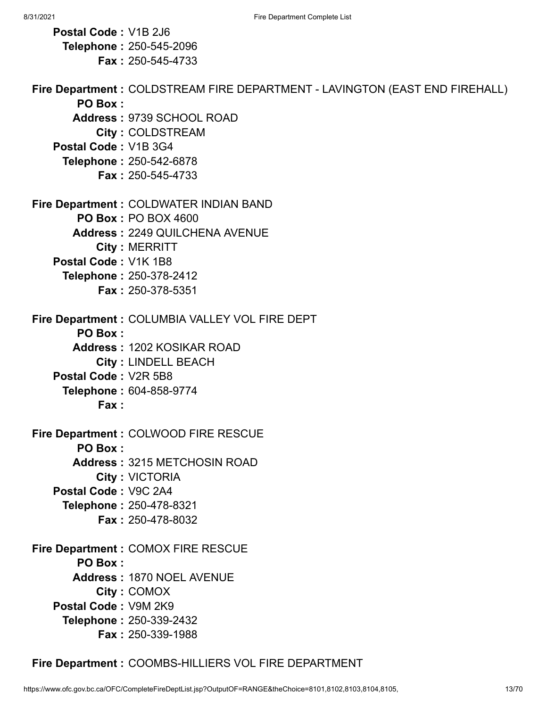**Postal Code :** V1B 2J6 **Telephone :** 250-545-2096 **Fax :** 250-545-4733 **Fire Department :** COLDSTREAM FIRE DEPARTMENT - LAVINGTON (EAST END FIREHALL) **PO Box : Address :** 9739 SCHOOL ROAD **City :** COLDSTREAM **Postal Code :** V1B 3G4 **Telephone :** 250-542-6878 **Fax :** 250-545-4733 **Fire Department :** COLDWATER INDIAN BAND **PO Box :** PO BOX 4600 **Address :** 2249 QUILCHENA AVENUE **City :** MERRITT **Postal Code :** V1K 1B8 **Telephone :** 250-378-2412 **Fax :** 250-378-5351 **Fire Department :** COLUMBIA VALLEY VOL FIRE DEPT **PO Box : Address :** 1202 KOSIKAR ROAD **City :** LINDELL BEACH **Postal Code :** V2R 5B8 **Telephone :** 604-858-9774 **Fax : Fire Department :** COLWOOD FIRE RESCUE **PO Box : Address :** 3215 METCHOSIN ROAD **City :** VICTORIA **Postal Code :** V9C 2A4 **Telephone :** 250-478-8321 **Fax :** 250-478-8032 **Fire Department :** COMOX FIRE RESCUE **PO Box : Address :** 1870 NOEL AVENUE **City :** COMOX **Postal Code :** V9M 2K9 **Telephone :** 250-339-2432 **Fax :** 250-339-1988

**Fire Department :** COOMBS-HILLIERS VOL FIRE DEPARTMENT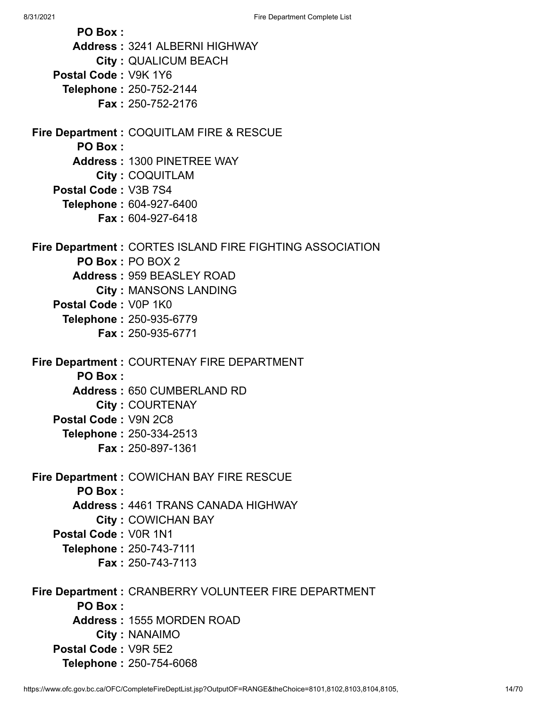8/31/2021 **Fire Department Complete List PO Box : Address :** 3241 ALBERNI HIGHWAY **City :** QUALICUM BEACH **Postal Code :** V9K 1Y6 **Telephone :** 250-752-2144 **Fax :** 250-752-2176 **Fire Department :** COQUITLAM FIRE & RESCUE **PO Box : Address :** 1300 PINETREE WAY **City :** COQUITLAM **Postal Code :** V3B 7S4 **Telephone :** 604-927-6400 **Fax :** 604-927-6418 **Fire Department :** CORTES ISLAND FIRE FIGHTING ASSOCIATION **PO Box :** PO BOX 2 **Address :** 959 BEASLEY ROAD **City :** MANSONS LANDING **Postal Code :** V0P 1K0 **Telephone :** 250-935-6779 **Fax :** 250-935-6771 **Fire Department :** COURTENAY FIRE DEPARTMENT **PO Box : Address :** 650 CUMBERLAND RD **City :** COURTENAY **Postal Code :** V9N 2C8 **Telephone :** 250-334-2513 **Fax :** 250-897-1361 **Fire Department :** COWICHAN BAY FIRE RESCUE **PO Box : Address :** 4461 TRANS CANADA HIGHWAY **City :** COWICHAN BAY **Postal Code :** V0R 1N1 **Telephone :** 250-743-7111 **Fax :** 250-743-7113 **Fire Department :** CRANBERRY VOLUNTEER FIRE DEPARTMENT **PO Box :**

**Address :** 1555 MORDEN ROAD **City :** NANAIMO

**Postal Code :** V9R 5E2 **Telephone :** 250-754-6068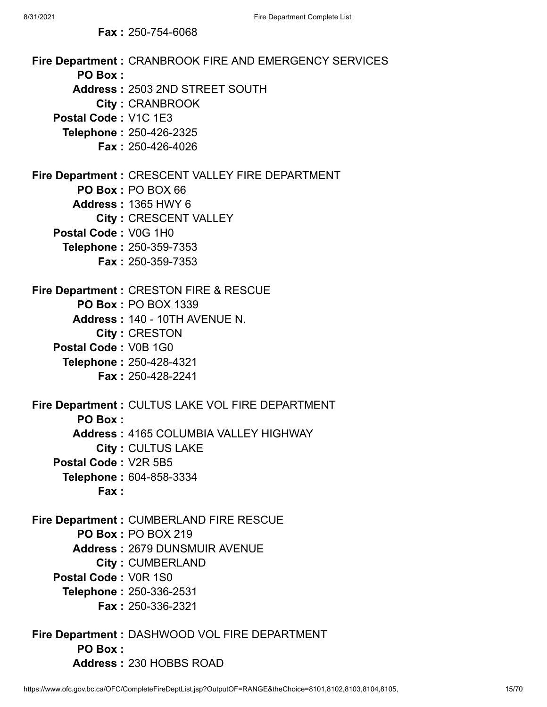| <b>Fax: 250-754-6068</b>                                          |
|-------------------------------------------------------------------|
| Fire Department: CRANBROOK FIRE AND EMERGENCY SERVICES<br>PO Box: |
| Address: 2503 2ND STREET SOUTH                                    |
| <b>City: CRANBROOK</b>                                            |
| Postal Code: V1C 1E3                                              |
| Telephone: 250-426-2325                                           |
| Fax: 250-426-4026                                                 |
| Fire Department : CRESCENT VALLEY FIRE DEPARTMENT                 |
| PO Box: PO BOX 66                                                 |
| <b>Address: 1365 HWY 6</b>                                        |
| City: CRESCENT VALLEY                                             |
| Postal Code: V0G 1H0                                              |
| Telephone: 250-359-7353                                           |
| <b>Fax: 250-359-7353</b>                                          |
| <b>Fire Department: CRESTON FIRE &amp; RESCUE</b>                 |
| <b>PO Box: PO BOX 1339</b>                                        |
| Address: 140 - 10TH AVENUE N.                                     |
| City: CRESTON                                                     |
| Postal Code: V0B 1G0                                              |
| Telephone: 250-428-4321                                           |
| <b>Fax: 250-428-2241</b>                                          |
| Fire Department : CULTUS LAKE VOL FIRE DEPARTMENT                 |
| <b>PO Box:</b>                                                    |
| Address: 4165 COLUMBIA VALLEY HIGHWAY                             |
| <b>City: CULTUS LAKE</b>                                          |
| Postal Code: V2R 5B5                                              |
| <b>Telephone: 604-858-3334</b>                                    |
| Fax:                                                              |
| Fire Department : CUMBERLAND FIRE RESCUE                          |
| <b>PO Box: PO BOX 219</b>                                         |
| <b>Address: 2679 DUNSMUIR AVENUE</b>                              |
| <b>City: CUMBERLAND</b>                                           |
| Postal Code: V0R 1S0                                              |
| <b>Telephone: 250-336-2531</b>                                    |
| Fax: 250-336-2321                                                 |
| Fire Department : DASHWOOD VOL FIRE DEPARTMENT                    |

**PO Box :**

**Address :** 230 HOBBS ROAD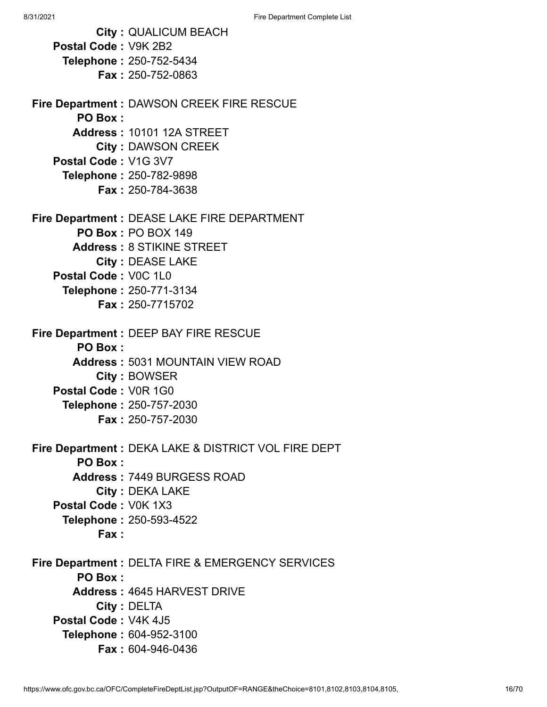|                      | <b>City: QUALICUM BEACH</b>                          |
|----------------------|------------------------------------------------------|
| Postal Code: V9K 2B2 |                                                      |
|                      | <b>Telephone: 250-752-5434</b>                       |
|                      | <b>Fax: 250-752-0863</b>                             |
|                      |                                                      |
|                      | Fire Department : DAWSON CREEK FIRE RESCUE           |
| PO Box:              |                                                      |
|                      | <b>Address: 10101 12A STREET</b>                     |
|                      | <b>City: DAWSON CREEK</b>                            |
| Postal Code: V1G 3V7 |                                                      |
|                      | Telephone: 250-782-9898                              |
|                      | Fax: 250-784-3638                                    |
|                      | Fire Department : DEASE LAKE FIRE DEPARTMENT         |
|                      | <b>PO Box: PO BOX 149</b>                            |
|                      | <b>Address: 8 STIKINE STREET</b>                     |
|                      | <b>City: DEASE LAKE</b>                              |
| Postal Code: V0C 1L0 |                                                      |
|                      | Telephone: 250-771-3134                              |
|                      | <b>Fax: 250-7715702</b>                              |
|                      |                                                      |
|                      | Fire Department : DEEP BAY FIRE RESCUE               |
| <b>PO Box:</b>       |                                                      |
|                      | <b>Address: 5031 MOUNTAIN VIEW ROAD</b>              |
|                      | City: BOWSER                                         |
| Postal Code: V0R 1G0 |                                                      |
|                      | <b>Telephone: 250-757-2030</b>                       |
|                      | <b>Fax: 250-757-2030</b>                             |
|                      |                                                      |
|                      | Fire Department : DEKA LAKE & DISTRICT VOL FIRE DEPT |
| PO Box:              |                                                      |
|                      | <b>Address: 7449 BURGESS ROAD</b>                    |
|                      | <b>City: DEKA LAKE</b>                               |
| Postal Code: V0K 1X3 |                                                      |
|                      | Telephone: 250-593-4522                              |
| Fax:                 |                                                      |
|                      | Fire Department : DELTA FIRE & EMERGENCY SERVICES    |
| <b>PO Box:</b>       |                                                      |
|                      | <b>Address: 4645 HARVEST DRIVE</b>                   |
|                      | <b>City: DELTA</b>                                   |
| Postal Code: V4K 4J5 |                                                      |
|                      | Telephone: 604-952-3100                              |
|                      | <b>Fax: 604-946-0436</b>                             |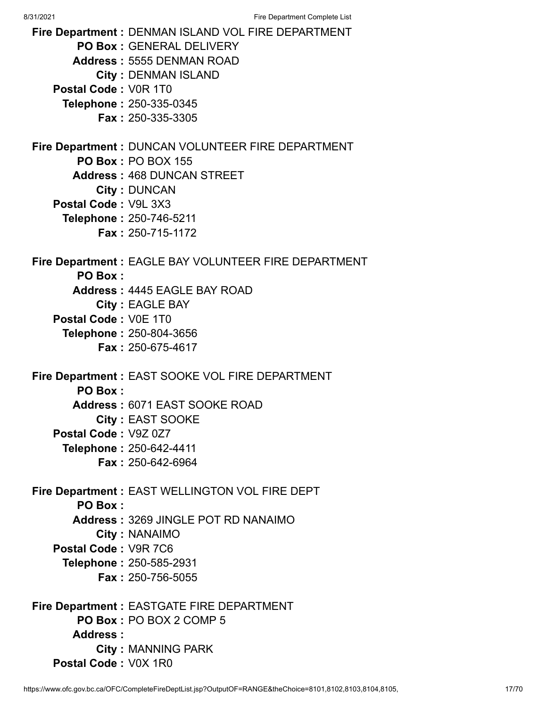8/31/2021 Fire Department Complete List **Fire Department :** DENMAN ISLAND VOL FIRE DEPARTMENT **PO Box :** GENERAL DELIVERY **Address :** 5555 DENMAN ROAD **City :** DENMAN ISLAND **Postal Code :** V0R 1T0 **Telephone :** 250-335-0345 **Fax :** 250-335-3305 **Fire Department :** DUNCAN VOLUNTEER FIRE DEPARTMENT **PO Box :** PO BOX 155 **Address :** 468 DUNCAN STREET **City :** DUNCAN **Postal Code :** V9L 3X3 **Telephone :** 250-746-5211 **Fax :** 250-715-1172 **Fire Department :** EAGLE BAY VOLUNTEER FIRE DEPARTMENT **PO Box : Address :** 4445 EAGLE BAY ROAD **City :** EAGLE BAY **Postal Code :** V0E 1T0 **Telephone :** 250-804-3656 **Fax :** 250-675-4617 **Fire Department :** EAST SOOKE VOL FIRE DEPARTMENT **PO Box : Address :** 6071 EAST SOOKE ROAD **City :** EAST SOOKE **Postal Code :** V9Z 0Z7 **Telephone :** 250-642-4411 **Fax :** 250-642-6964 **Fire Department :** EAST WELLINGTON VOL FIRE DEPT **PO Box : Address :** 3269 JINGLE POT RD NANAIMO **City :** NANAIMO **Postal Code :** V9R 7C6 **Telephone :** 250-585-2931 **Fax :** 250-756-5055 **Fire Department :** EASTGATE FIRE DEPARTMENT **PO Box :** PO BOX 2 COMP 5 **Address :**

**City :** MANNING PARK

**Postal Code :** V0X 1R0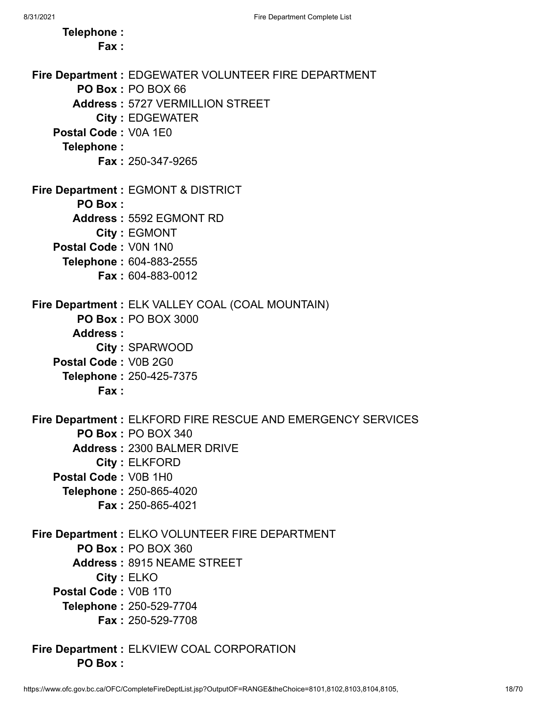| Telephone:<br>Fax:   |                                                                    |
|----------------------|--------------------------------------------------------------------|
|                      | Fire Department : EDGEWATER VOLUNTEER FIRE DEPARTMENT              |
|                      | PO Box: PO BOX 66                                                  |
|                      | <b>Address: 5727 VERMILLION STREET</b>                             |
|                      | <b>City: EDGEWATER</b>                                             |
| Postal Code: V0A 1E0 |                                                                    |
| Telephone:           |                                                                    |
|                      | <b>Fax: 250-347-9265</b>                                           |
|                      | <b>Fire Department: EGMONT &amp; DISTRICT</b>                      |
| <b>PO Box:</b>       |                                                                    |
|                      | <b>Address: 5592 EGMONT RD</b>                                     |
|                      | City: EGMONT                                                       |
| Postal Code: V0N 1N0 |                                                                    |
|                      | Telephone: 604-883-2555                                            |
|                      | <b>Fax: 604-883-0012</b>                                           |
|                      | Fire Department : ELK VALLEY COAL (COAL MOUNTAIN)                  |
|                      | <b>PO Box: PO BOX 3000</b>                                         |
| Address:             |                                                                    |
|                      | City: SPARWOOD                                                     |
| Postal Code: V0B 2G0 |                                                                    |
|                      | Telephone: 250-425-7375                                            |
| Fax:                 |                                                                    |
|                      | <b>Fire Department: ELKFORD FIRE RESCUE AND EMERGENCY SERVICES</b> |
|                      | <b>PO Box: PO BOX 340</b>                                          |
|                      | <b>Address: 2300 BALMER DRIVE</b>                                  |
|                      | City: ELKFORD                                                      |
| Postal Code: V0B 1H0 |                                                                    |
|                      | Telephone: 250-865-4020                                            |
|                      | <b>Fax: 250-865-4021</b>                                           |
|                      | Fire Department : ELKO VOLUNTEER FIRE DEPARTMENT                   |
|                      | <b>PO Box: PO BOX 360</b>                                          |
|                      | <b>Address: 8915 NEAME STREET</b>                                  |
|                      | City: ELKO                                                         |
| Postal Code: V0B 1T0 |                                                                    |
|                      | Telephone: 250-529-7704                                            |
|                      | <b>Fax: 250-529-7708</b>                                           |
|                      | Fire Department : ELKVIEW COAL CORPORATION                         |

**PO Box :**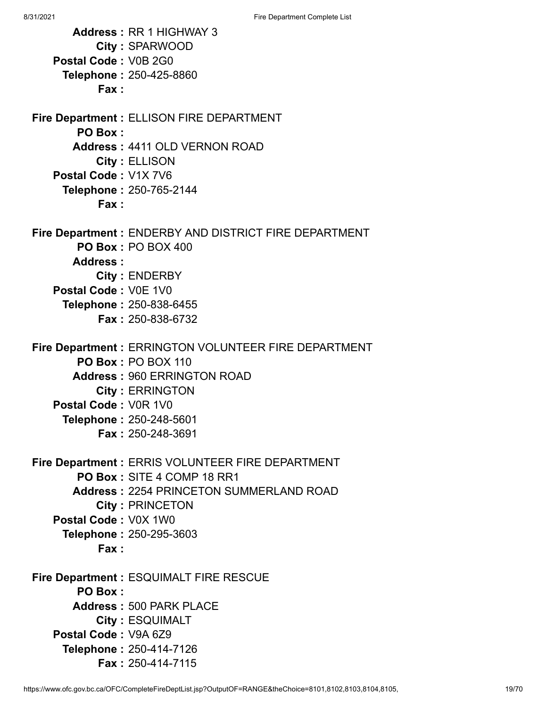| <b>Address: RR 1 HIGHWAY 3</b>                          |
|---------------------------------------------------------|
| City: SPARWOOD<br>Postal Code: V0B 2G0                  |
|                                                         |
| <b>Telephone: 250-425-8860</b><br>Fax:                  |
|                                                         |
| <b>Fire Department: ELLISON FIRE DEPARTMENT</b>         |
| <b>PO Box:</b>                                          |
| <b>Address: 4411 OLD VERNON ROAD</b>                    |
| <b>City: ELLISON</b>                                    |
| Postal Code: V1X 7V6                                    |
| Telephone: 250-765-2144<br>Fax:                         |
|                                                         |
| Fire Department : ENDERBY AND DISTRICT FIRE DEPARTMENT  |
| PO Box: PO BOX 400                                      |
| Address:                                                |
| <b>City: ENDERBY</b>                                    |
| Postal Code: V0E 1V0                                    |
| Telephone: 250-838-6455                                 |
| <b>Fax: 250-838-6732</b>                                |
| Fire Department : ERRINGTON VOLUNTEER FIRE DEPARTMENT   |
| <b>PO Box: PO BOX 110</b>                               |
| <b>Address: 960 ERRINGTON ROAD</b>                      |
| <b>City: ERRINGTON</b>                                  |
| Postal Code: V0R 1V0                                    |
| Telephone: 250-248-5601                                 |
| Fax: 250-248-3691                                       |
| <b>Fire Department: ERRIS VOLUNTEER FIRE DEPARTMENT</b> |
| PO Box: SITE 4 COMP 18 RR1                              |
| <b>Address: 2254 PRINCETON SUMMERLAND ROAD</b>          |
| <b>City: PRINCETON</b>                                  |
| Postal Code: V0X 1W0                                    |
| Telephone: 250-295-3603                                 |
| Fax:                                                    |
| Fire Department : ESQUIMALT FIRE RESCUE                 |
| <b>PO Box:</b>                                          |
| <b>Address: 500 PARK PLACE</b>                          |
| <b>City: ESQUIMALT</b>                                  |
| Postal Code: V9A 6Z9                                    |
| Telephone: 250-414-7126                                 |
| Fax: 250-414-7115                                       |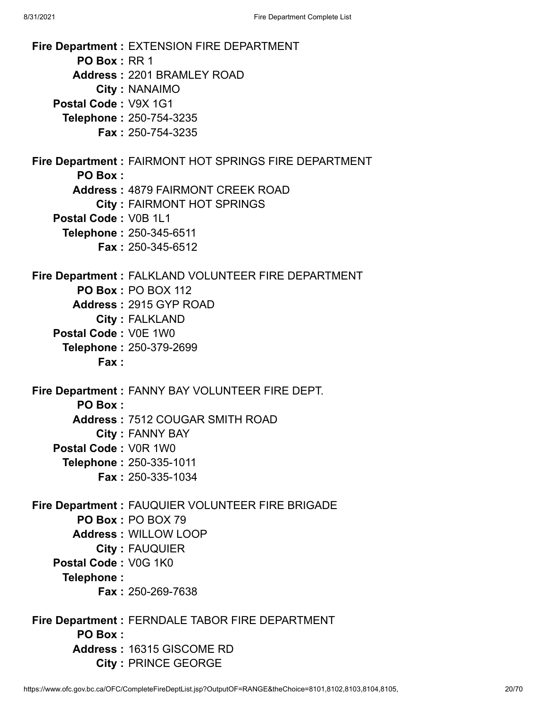**Fire Department :** EXTENSION FIRE DEPARTMENT **PO Box :** RR 1 **Address :** 2201 BRAMLEY ROAD **City :** NANAIMO **Postal Code :** V9X 1G1 **Telephone :** 250-754-3235 **Fax :** 250-754-3235 **Fire Department :** FAIRMONT HOT SPRINGS FIRE DEPARTMENT **PO Box : Address :** 4879 FAIRMONT CREEK ROAD **City :** FAIRMONT HOT SPRINGS **Postal Code :** V0B 1L1 **Telephone :** 250-345-6511 **Fax :** 250-345-6512 **Fire Department :** FALKLAND VOLUNTEER FIRE DEPARTMENT **PO Box :** PO BOX 112 **Address :** 2915 GYP ROAD **City :** FALKLAND **Postal Code :** V0E 1W0 **Telephone :** 250-379-2699 **Fax : Fire Department :** FANNY BAY VOLUNTEER FIRE DEPT. **PO Box : Address :** 7512 COUGAR SMITH ROAD **City :** FANNY BAY **Postal Code :** V0R 1W0 **Telephone :** 250-335-1011 **Fax :** 250-335-1034 **Fire Department :** FAUQUIER VOLUNTEER FIRE BRIGADE **PO Box :** PO BOX 79 **Address :** WILLOW LOOP **City :** FAUQUIER **Postal Code :** V0G 1K0 **Telephone : Fax :** 250-269-7638 **Fire Department :** FERNDALE TABOR FIRE DEPARTMENT **PO Box : Address :** 16315 GISCOME RD **City :** PRINCE GEORGE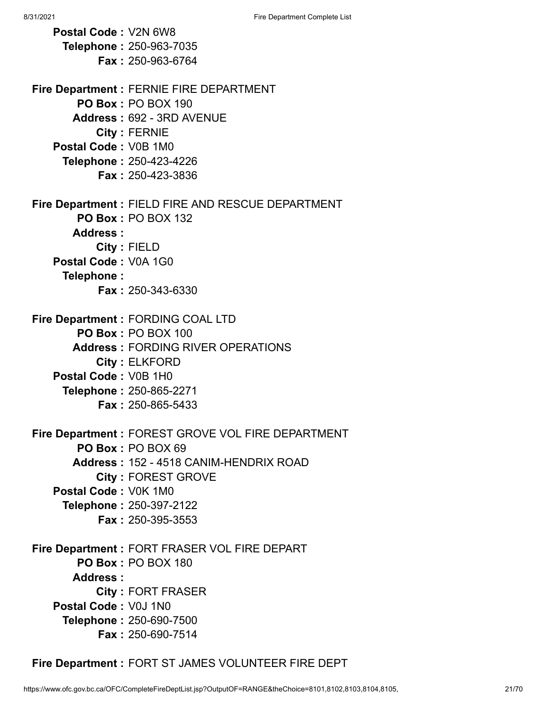**Postal Code :** V2N 6W8 **Telephone :** 250-963-7035 **Fax :** 250-963-6764 **Fire Department :** FERNIE FIRE DEPARTMENT **PO Box :** PO BOX 190 **Address :** 692 - 3RD AVENUE **City :** FERNIE **Postal Code :** V0B 1M0 **Telephone :** 250-423-4226 **Fax :** 250-423-3836 **Fire Department :** FIELD FIRE AND RESCUE DEPARTMENT **PO Box :** PO BOX 132 **Address : City :** FIELD **Postal Code :** V0A 1G0 **Telephone : Fax :** 250-343-6330 **Fire Department :** FORDING COAL LTD **PO Box :** PO BOX 100 **Address :** FORDING RIVER OPERATIONS **City :** ELKFORD **Postal Code :** V0B 1H0 **Telephone :** 250-865-2271 **Fax :** 250-865-5433 **Fire Department :** FOREST GROVE VOL FIRE DEPARTMENT **PO Box :** PO BOX 69 **Address :** 152 - 4518 CANIM-HENDRIX ROAD **City :** FOREST GROVE **Postal Code :** V0K 1M0 **Telephone :** 250-397-2122 **Fax :** 250-395-3553 **Fire Department :** FORT FRASER VOL FIRE DEPART **PO Box :** PO BOX 180 **Address : City :** FORT FRASER **Postal Code :** V0J 1N0 **Telephone :** 250-690-7500 **Fax :** 250-690-7514

**Fire Department :** FORT ST JAMES VOLUNTEER FIRE DEPT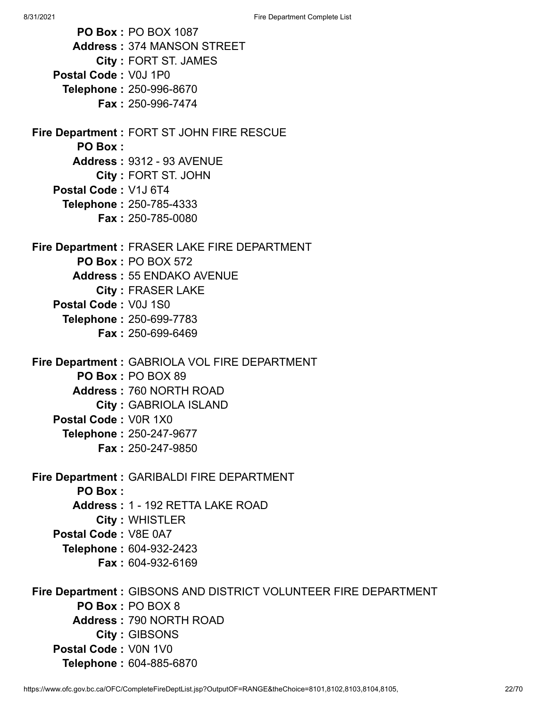8/31/2021 **Fire Department Complete List PO Box :** PO BOX 1087 **Address :** 374 MANSON STREET **City :** FORT ST. JAMES **Postal Code :** V0J 1P0 **Telephone :** 250-996-8670 **Fax :** 250-996-7474 **Fire Department :** FORT ST JOHN FIRE RESCUE **PO Box : Address :** 9312 - 93 AVENUE **City :** FORT ST. JOHN **Postal Code :** V1J 6T4 **Telephone :** 250-785-4333 **Fax :** 250-785-0080 **Fire Department :** FRASER LAKE FIRE DEPARTMENT **PO Box :** PO BOX 572 **Address :** 55 ENDAKO AVENUE **City :** FRASER LAKE **Postal Code :** V0J 1S0 **Telephone :** 250-699-7783 **Fax :** 250-699-6469 **Fire Department :** GABRIOLA VOL FIRE DEPARTMENT **PO Box :** PO BOX 89 **Address :** 760 NORTH ROAD **City :** GABRIOLA ISLAND **Postal Code :** V0R 1X0 **Telephone :** 250-247-9677 **Fax :** 250-247-9850 **Fire Department :** GARIBALDI FIRE DEPARTMENT **PO Box : Address :** 1 - 192 RETTA LAKE ROAD **City :** WHISTLER **Postal Code :** V8E 0A7 **Telephone :** 604-932-2423 **Fax :** 604-932-6169 **Fire Department :** GIBSONS AND DISTRICT VOLUNTEER FIRE DEPARTMENT **PO Box :** PO BOX 8 **Address :** 790 NORTH ROAD **City :** GIBSONS **Postal Code :** V0N 1V0

https://www.ofc.gov.bc.ca/OFC/CompleteFireDeptList.jsp?OutputOF=RANGE&theChoice=8101,8102,8103,8104,8105, 22/70

**Telephone :** 604-885-6870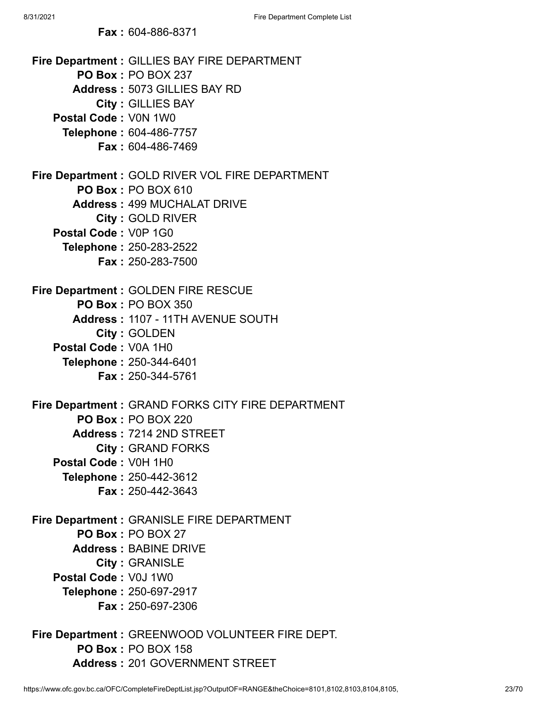**Fax :** 604-886-8371

| <b>Fire Department: GILLIES BAY FIRE DEPARTMENT</b><br><b>PO Box: PO BOX 237</b> |
|----------------------------------------------------------------------------------|
| Address: 5073 GILLIES BAY RD                                                     |
| <b>City: GILLIES BAY</b>                                                         |
| Postal Code: V0N 1W0                                                             |
| Telephone: 604-486-7757                                                          |
| <b>Fax: 604-486-7469</b>                                                         |
|                                                                                  |
| Fire Department : GOLD RIVER VOL FIRE DEPARTMENT                                 |
| <b>PO Box: PO BOX 610</b>                                                        |
| <b>Address: 499 MUCHALAT DRIVE</b>                                               |
| <b>City: GOLD RIVER</b>                                                          |
| Postal Code: V0P 1G0                                                             |
| Telephone: 250-283-2522                                                          |
| <b>Fax: 250-283-7500</b>                                                         |
|                                                                                  |
| Fire Department : GOLDEN FIRE RESCUE                                             |
| <b>PO Box: PO BOX 350</b>                                                        |
| Address: 1107 - 11TH AVENUE SOUTH                                                |
| City: GOLDEN                                                                     |
| Postal Code: V0A 1H0                                                             |
| Telephone: 250-344-6401                                                          |
| <b>Fax: 250-344-5761</b>                                                         |
|                                                                                  |
| Fire Department : GRAND FORKS CITY FIRE DEPARTMENT                               |
| <b>PO Box: PO BOX 220</b>                                                        |
| Address: 7214 2ND STREET                                                         |
| <b>City: GRAND FORKS</b>                                                         |
| Postal Code: V0H 1H0                                                             |
| <b>Telephone: 250-442-3612</b>                                                   |
| <b>Fax: 250-442-3643</b>                                                         |
|                                                                                  |
| Fire Department : GRANISLE FIRE DEPARTMENT                                       |
| PO Box: PO BOX 27                                                                |
| <b>Address: BABINE DRIVE</b>                                                     |
| <b>City: GRANISLE</b><br>Postal Code: V0J 1W0                                    |
|                                                                                  |
| Telephone: 250-697-2917<br><b>Fax: 250-697-2306</b>                              |
|                                                                                  |
| Fire Department : GREENWOOD VOLUNTEER FIRE DEPT.                                 |
|                                                                                  |

**PO Box :** PO BOX 158 **Address :** 201 GOVERNMENT STREET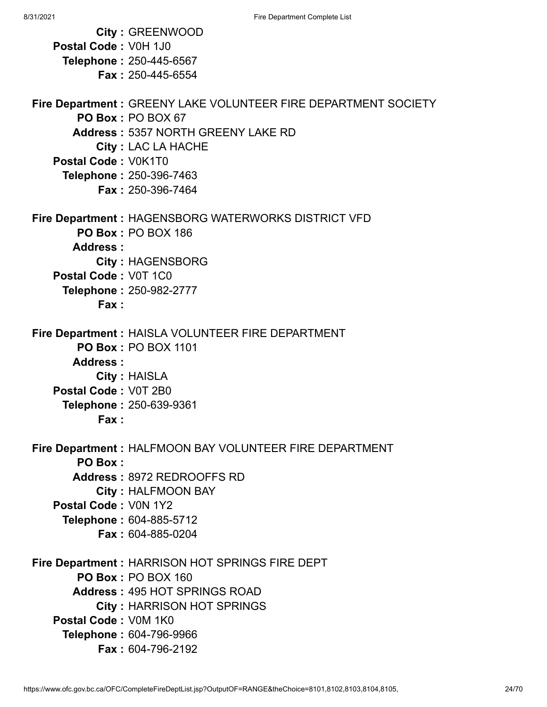|                      | <b>City: GREENWOOD</b>                                          |
|----------------------|-----------------------------------------------------------------|
| Postal Code: V0H 1J0 |                                                                 |
|                      | Telephone: 250-445-6567                                         |
|                      | <b>Fax: 250-445-6554</b>                                        |
|                      |                                                                 |
|                      | Fire Department : GREENY LAKE VOLUNTEER FIRE DEPARTMENT SOCIETY |
|                      | PO Box: PO BOX 67                                               |
|                      | <b>Address: 5357 NORTH GREENY LAKE RD</b>                       |
|                      | <b>City: LAC LA HACHE</b>                                       |
| Postal Code: V0K1T0  |                                                                 |
|                      | Telephone: 250-396-7463                                         |
|                      | <b>Fax: 250-396-7464</b>                                        |
|                      | Fire Department : HAGENSBORG WATERWORKS DISTRICT VFD            |
|                      | <b>PO Box: PO BOX 186</b>                                       |
| Address:             |                                                                 |
|                      | <b>City: HAGENSBORG</b>                                         |
| Postal Code: V0T 1C0 |                                                                 |
|                      | Telephone: 250-982-2777                                         |
| Fax:                 |                                                                 |
|                      |                                                                 |
|                      | Fire Department : HAISLA VOLUNTEER FIRE DEPARTMENT              |
|                      | <b>PO Box: PO BOX 1101</b>                                      |
| <b>Address:</b>      |                                                                 |
|                      | City: HAISLA                                                    |
| Postal Code: V0T 2B0 |                                                                 |
|                      | Telephone: 250-639-9361                                         |
| Fax :                |                                                                 |
|                      | Fire Department : HALFMOON BAY VOLUNTEER FIRE DEPARTMENT        |
| <b>PO Box:</b>       |                                                                 |
|                      | Address: 8972 REDROOFFS RD                                      |
|                      | <b>City: HALFMOON BAY</b>                                       |
| Postal Code: V0N 1Y2 |                                                                 |
|                      | <b>Telephone: 604-885-5712</b>                                  |
|                      | Fax: 604-885-0204                                               |
|                      | Fire Department : HARRISON HOT SPRINGS FIRE DEPT                |
|                      | <b>PO Box: PO BOX 160</b>                                       |
|                      | <b>Address: 495 HOT SPRINGS ROAD</b>                            |
|                      | <b>City: HARRISON HOT SPRINGS</b>                               |
| Postal Code: V0M 1K0 |                                                                 |
|                      | Telephone: 604-796-9966                                         |
|                      | Fax: 604-796-2192                                               |
|                      |                                                                 |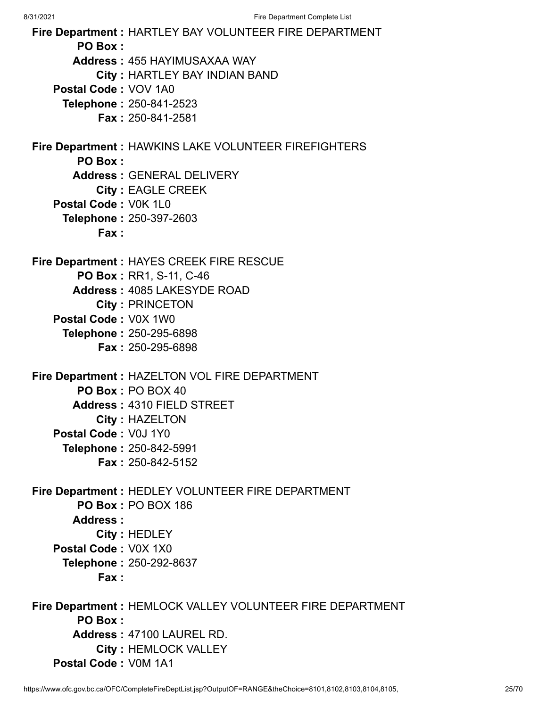**Fire Department :** HARTLEY BAY VOLUNTEER FIRE DEPARTMENT **PO Box : Address :** 455 HAYIMUSAXAA WAY **City :** HARTLEY BAY INDIAN BAND **Postal Code :** VOV 1A0 **Telephone :** 250-841-2523 **Fax :** 250-841-2581 **Fire Department :** HAWKINS LAKE VOLUNTEER FIREFIGHTERS **PO Box : Address :** GENERAL DELIVERY **City :** EAGLE CREEK **Postal Code :** V0K 1L0 **Telephone :** 250-397-2603 **Fax : Fire Department :** HAYES CREEK FIRE RESCUE **PO Box :** RR1, S-11, C-46 **Address :** 4085 LAKESYDE ROAD **City :** PRINCETON **Postal Code :** V0X 1W0 **Telephone :** 250-295-6898 **Fax :** 250-295-6898 **Fire Department :** HAZELTON VOL FIRE DEPARTMENT **PO Box :** PO BOX 40 **Address :** 4310 FIELD STREET **City :** HAZELTON **Postal Code :** V0J 1Y0 **Telephone :** 250-842-5991 **Fax :** 250-842-5152 **Fire Department :** HEDLEY VOLUNTEER FIRE DEPARTMENT **PO Box :** PO BOX 186 **Address : City :** HEDLEY **Postal Code :** V0X 1X0 **Telephone :** 250-292-8637 **Fax : Fire Department :** HEMLOCK VALLEY VOLUNTEER FIRE DEPARTMENT **PO Box : Address :** 47100 LAUREL RD. **City :** HEMLOCK VALLEY **Postal Code :** V0M 1A1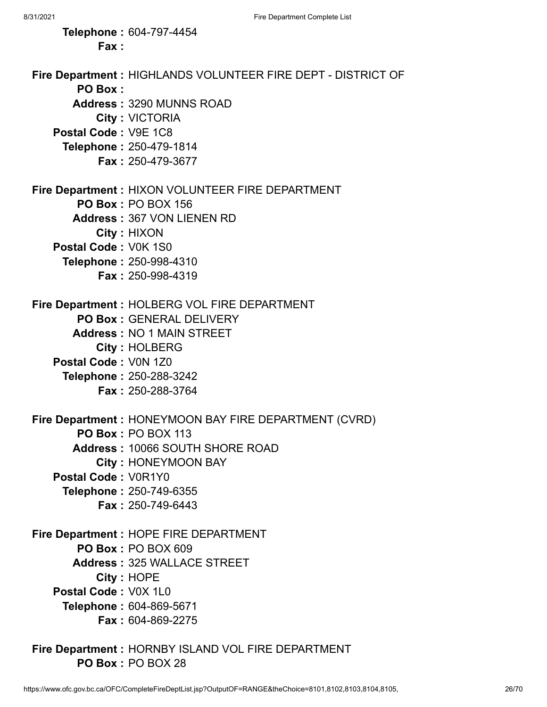**Telephone :** 604-797-4454 **Fax : Fire Department :** HIGHLANDS VOLUNTEER FIRE DEPT - DISTRICT OF **PO Box : Address :** 3290 MUNNS ROAD **City :** VICTORIA **Postal Code :** V9E 1C8 **Telephone :** 250-479-1814 **Fax :** 250-479-3677 **Fire Department :** HIXON VOLUNTEER FIRE DEPARTMENT **PO Box :** PO BOX 156 **Address :** 367 VON LIENEN RD **City :** HIXON **Postal Code :** V0K 1S0 **Telephone :** 250-998-4310 **Fax :** 250-998-4319 **Fire Department :** HOLBERG VOL FIRE DEPARTMENT **PO Box :** GENERAL DELIVERY **Address :** NO 1 MAIN STREET **City :** HOLBERG **Postal Code :** V0N 1Z0 **Telephone :** 250-288-3242 **Fax :** 250-288-3764 **Fire Department :** HONEYMOON BAY FIRE DEPARTMENT (CVRD) **PO Box :** PO BOX 113 **Address :** 10066 SOUTH SHORE ROAD **City :** HONEYMOON BAY **Postal Code :** V0R1Y0 **Telephone :** 250-749-6355 **Fax :** 250-749-6443 **Fire Department :** HOPE FIRE DEPARTMENT **PO Box :** PO BOX 609 **Address :** 325 WALLACE STREET **City :** HOPE **Postal Code :** V0X 1L0 **Telephone :** 604-869-5671 **Fax :** 604-869-2275

**Fire Department :** HORNBY ISLAND VOL FIRE DEPARTMENT **PO Box :** PO BOX 28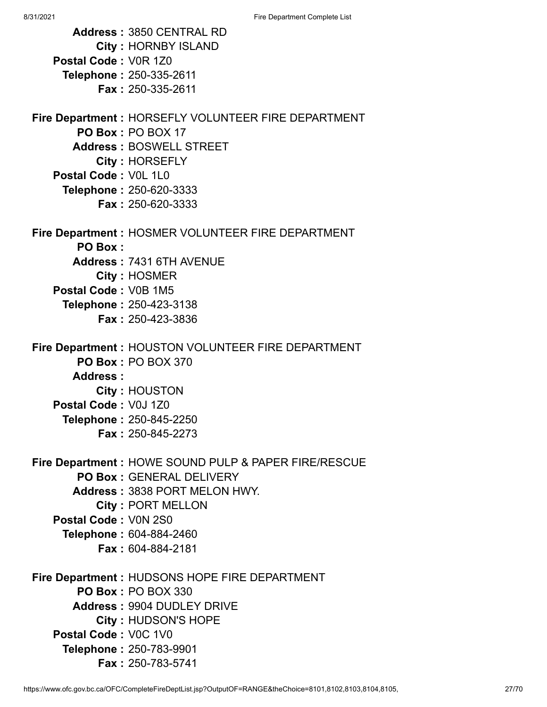| <b>Address: 3850 CENTRAL RD</b><br><b>City: HORNBY ISLAND</b>           |
|-------------------------------------------------------------------------|
| Postal Code: V0R 1Z0                                                    |
| <b>Telephone: 250-335-2611</b>                                          |
| Fax: 250-335-2611                                                       |
| Fire Department: HORSEFLY VOLUNTEER FIRE DEPARTMENT                     |
| PO Box: PO BOX 17                                                       |
| <b>Address: BOSWELL STREET</b>                                          |
| <b>City: HORSEFLY</b>                                                   |
| Postal Code: V0L 1L0                                                    |
| <b>Telephone: 250-620-3333</b>                                          |
| <b>Fax: 250-620-3333</b>                                                |
| Fire Department : HOSMER VOLUNTEER FIRE DEPARTMENT                      |
| <b>PO Box:</b><br>Address: 7431 6TH AVENUE                              |
| City: HOSMER                                                            |
| Postal Code: V0B 1M5                                                    |
| Telephone: 250-423-3138                                                 |
| <b>Fax: 250-423-3836</b>                                                |
|                                                                         |
| Fire Department : HOUSTON VOLUNTEER FIRE DEPARTMENT                     |
| <b>PO Box: PO BOX 370</b><br>Address:                                   |
| City: HOUSTON                                                           |
| Postal Code: V0J 1Z0                                                    |
| Telephone: 250-845-2250                                                 |
| Fax: 250-845-2273                                                       |
|                                                                         |
| Fire Department : HOWE SOUND PULP & PAPER FIRE/RESCUE                   |
| <b>PO Box: GENERAL DELIVERY</b><br><b>Address: 3838 PORT MELON HWY.</b> |
| <b>City: PORT MELLON</b>                                                |
| Postal Code: V0N 2S0                                                    |
| <b>Telephone: 604-884-2460</b>                                          |
| <b>Fax: 604-884-2181</b>                                                |
| Fire Department : HUDSONS HOPE FIRE DEPARTMENT                          |
| <b>PO Box: PO BOX 330</b>                                               |
| <b>Address: 9904 DUDLEY DRIVE</b>                                       |
| City: HUDSON'S HOPE                                                     |
| Postal Code: V0C 1V0                                                    |
| <b>Telephone: 250-783-9901</b>                                          |
| <b>Fax: 250-783-5741</b>                                                |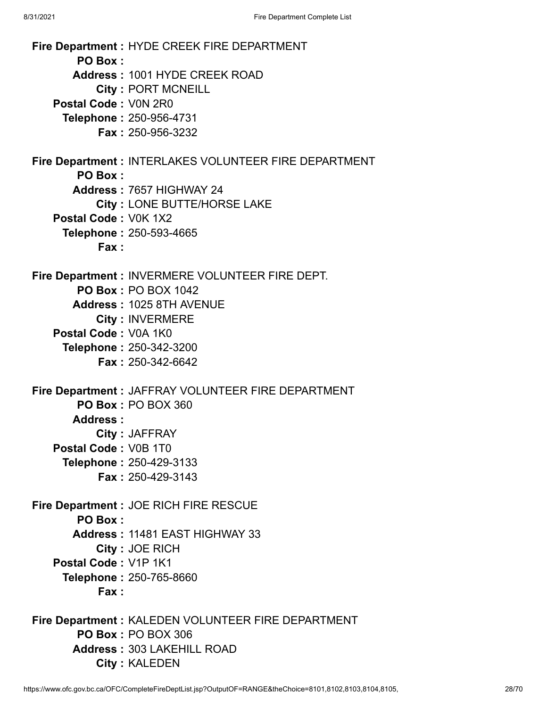**Fire Department :** HYDE CREEK FIRE DEPARTMENT **PO Box : Address :** 1001 HYDE CREEK ROAD **City :** PORT MCNEILL **Postal Code :** V0N 2R0 **Telephone :** 250-956-4731 **Fax :** 250-956-3232 **Fire Department :** INTERLAKES VOLUNTEER FIRE DEPARTMENT **PO Box : Address :** 7657 HIGHWAY 24 **City :** LONE BUTTE/HORSE LAKE **Postal Code :** V0K 1X2 **Telephone :** 250-593-4665 **Fax : Fire Department :** INVERMERE VOLUNTEER FIRE DEPT. **PO Box :** PO BOX 1042 **Address :** 1025 8TH AVENUE **City :** INVERMERE **Postal Code :** V0A 1K0 **Telephone :** 250-342-3200 **Fax :** 250-342-6642 **Fire Department :** JAFFRAY VOLUNTEER FIRE DEPARTMENT **PO Box :** PO BOX 360 **Address : City :** JAFFRAY **Postal Code :** V0B 1T0 **Telephone :** 250-429-3133 **Fax :** 250-429-3143 **Fire Department :** JOE RICH FIRE RESCUE **PO Box : Address :** 11481 EAST HIGHWAY 33 **City :** JOE RICH **Postal Code :** V1P 1K1 **Telephone :** 250-765-8660 **Fax : Fire Department :** KALEDEN VOLUNTEER FIRE DEPARTMENT **PO Box :** PO BOX 306 **Address :** 303 LAKEHILL ROAD

**City :** KALEDEN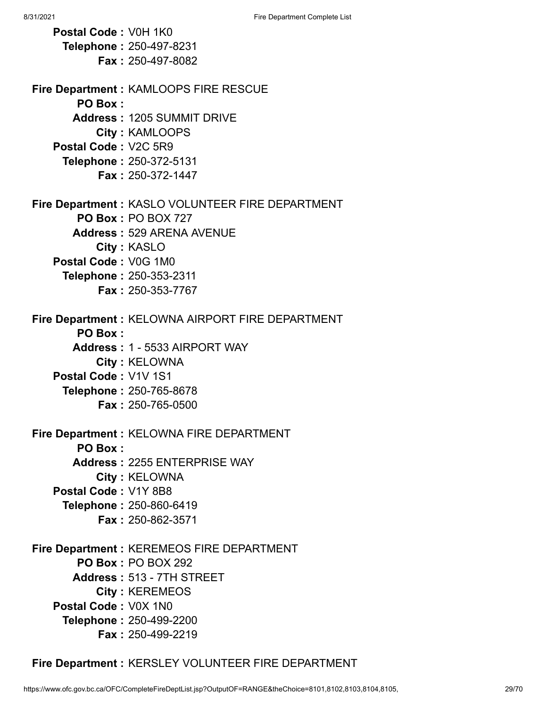**Postal Code :** V0H 1K0 **Telephone :** 250-497-8231 **Fax :** 250-497-8082 **Fire Department :** KAMLOOPS FIRE RESCUE **PO Box : Address :** 1205 SUMMIT DRIVE **City :** KAMLOOPS **Postal Code :** V2C 5R9 **Telephone :** 250-372-5131 **Fax :** 250-372-1447 **Fire Department :** KASLO VOLUNTEER FIRE DEPARTMENT **PO Box :** PO BOX 727 **Address :** 529 ARENA AVENUE **City :** KASLO **Postal Code :** V0G 1M0 **Telephone :** 250-353-2311 **Fax :** 250-353-7767 **Fire Department :** KELOWNA AIRPORT FIRE DEPARTMENT **PO Box : Address :** 1 - 5533 AIRPORT WAY **City :** KELOWNA **Postal Code :** V1V 1S1 **Telephone :** 250-765-8678 **Fax :** 250-765-0500 **Fire Department :** KELOWNA FIRE DEPARTMENT **PO Box : Address :** 2255 ENTERPRISE WAY **City :** KELOWNA **Postal Code :** V1Y 8B8 **Telephone :** 250-860-6419 **Fax :** 250-862-3571 **Fire Department :** KEREMEOS FIRE DEPARTMENT **PO Box :** PO BOX 292 **Address :** 513 - 7TH STREET **City :** KEREMEOS **Postal Code :** V0X 1N0 **Telephone :** 250-499-2200 **Fax :** 250-499-2219

**Fire Department :** KERSLEY VOLUNTEER FIRE DEPARTMENT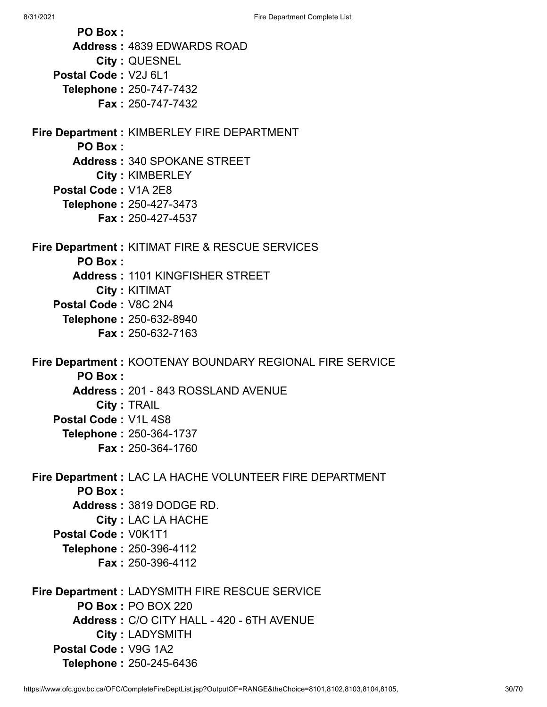**PO Box : Address :** 4839 EDWARDS ROAD **City :** QUESNEL **Postal Code :** V2J 6L1 **Telephone :** 250-747-7432 **Fax :** 250-747-7432 **Fire Department :** KIMBERLEY FIRE DEPARTMENT **PO Box : Address :** 340 SPOKANE STREET **City :** KIMBERLEY **Postal Code :** V1A 2E8 **Telephone :** 250-427-3473 **Fax :** 250-427-4537 **Fire Department :** KITIMAT FIRE & RESCUE SERVICES **PO Box : Address :** 1101 KINGFISHER STREET **City :** KITIMAT **Postal Code :** V8C 2N4 **Telephone :** 250-632-8940 **Fax :** 250-632-7163 **Fire Department :** KOOTENAY BOUNDARY REGIONAL FIRE SERVICE **PO Box : Address :** 201 - 843 ROSSLAND AVENUE **City :** TRAIL **Postal Code :** V1L 4S8 **Telephone :** 250-364-1737 **Fax :** 250-364-1760 **Fire Department :** LAC LA HACHE VOLUNTEER FIRE DEPARTMENT **PO Box : Address :** 3819 DODGE RD. **City :** LAC LA HACHE **Postal Code :** V0K1T1 **Telephone :** 250-396-4112 **Fax :** 250-396-4112 **Fire Department :** LADYSMITH FIRE RESCUE SERVICE **PO Box :** PO BOX 220 **Address :** C/O CITY HALL - 420 - 6TH AVENUE **City :** LADYSMITH **Postal Code :** V9G 1A2 **Telephone :** 250-245-6436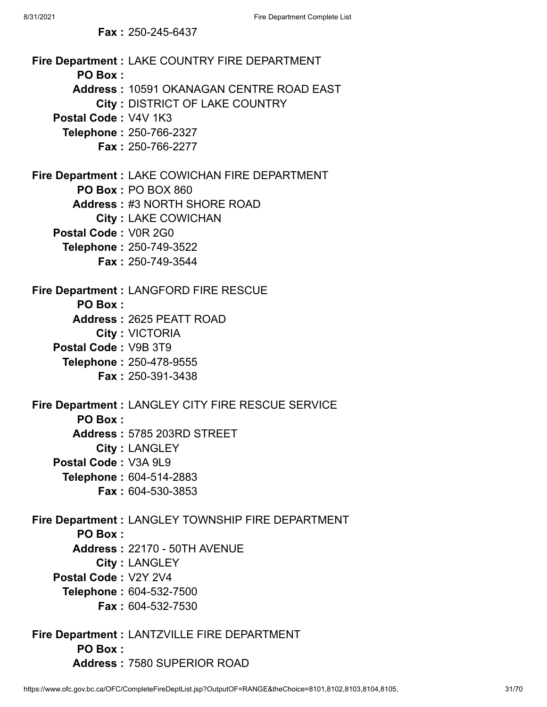**Fire Department :** LAKE COUNTRY FIRE DEPARTMENT **PO Box : Address :** 10591 OKANAGAN CENTRE ROAD EAST **City :** DISTRICT OF LAKE COUNTRY **Postal Code :** V4V 1K3 **Telephone :** 250-766-2327 **Fax :** 250-766-2277 **Fire Department :** LAKE COWICHAN FIRE DEPARTMENT **PO Box :** PO BOX 860 **Address :** #3 NORTH SHORE ROAD **City :** LAKE COWICHAN **Postal Code :** V0R 2G0 **Telephone :** 250-749-3522 **Fax :** 250-749-3544 **Fire Department :** LANGFORD FIRE RESCUE **PO Box : Address :** 2625 PEATT ROAD **City :** VICTORIA **Postal Code :** V9B 3T9 **Telephone :** 250-478-9555 **Fax :** 250-391-3438 **Fire Department :** LANGLEY CITY FIRE RESCUE SERVICE **PO Box : Address :** 5785 203RD STREET **City :** LANGLEY **Postal Code :** V3A 9L9 **Telephone :** 604-514-2883 **Fax :** 604-530-3853 **Fire Department :** LANGLEY TOWNSHIP FIRE DEPARTMENT **PO Box : Address :** 22170 - 50TH AVENUE **City :** LANGLEY **Postal Code :** V2Y 2V4 **Telephone :** 604-532-7500 **Fax :** 604-532-7530 **Fire Department :** LANTZVILLE FIRE DEPARTMENT **PO Box : Address :** 7580 SUPERIOR ROAD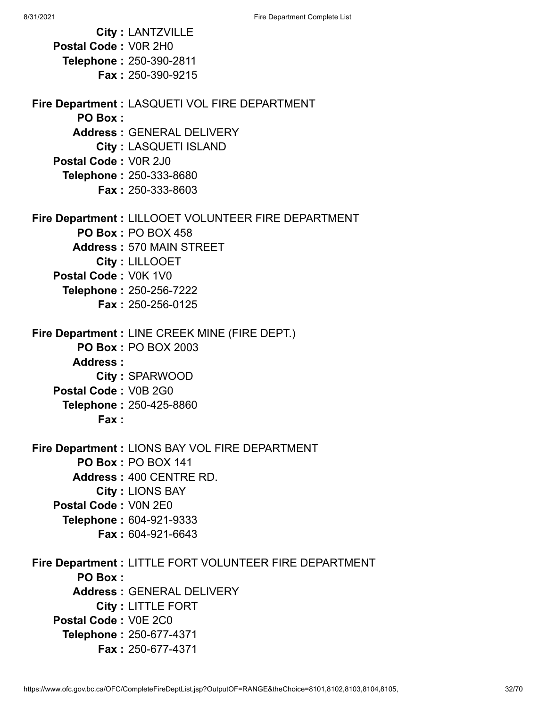**City :** LANTZVILLE **Postal Code :** V0R 2H0 **Telephone :** 250-390-2811 **Fax :** 250-390-9215 **Fire Department :** LASQUETI VOL FIRE DEPARTMENT **PO Box : Address :** GENERAL DELIVERY **City :** LASQUETI ISLAND **Postal Code :** V0R 2J0 **Telephone :** 250-333-8680 **Fax :** 250-333-8603 **Fire Department :** LILLOOET VOLUNTEER FIRE DEPARTMENT **PO Box :** PO BOX 458 **Address :** 570 MAIN STREET **City :** LILLOOET **Postal Code :** V0K 1V0 **Telephone :** 250-256-7222 **Fax :** 250-256-0125 **Fire Department :** LINE CREEK MINE (FIRE DEPT.) **PO Box :** PO BOX 2003 **Address : City :** SPARWOOD **Postal Code :** V0B 2G0 **Telephone :** 250-425-8860 **Fax : Fire Department :** LIONS BAY VOL FIRE DEPARTMENT **PO Box :** PO BOX 141 **Address :** 400 CENTRE RD. **City :** LIONS BAY **Postal Code :** V0N 2E0 **Telephone :** 604-921-9333 **Fax :** 604-921-6643 **Fire Department :** LITTLE FORT VOLUNTEER FIRE DEPARTMENT **PO Box : Address :** GENERAL DELIVERY **City :** LITTLE FORT **Postal Code :** V0E 2C0 **Telephone :** 250-677-4371 **Fax :** 250-677-4371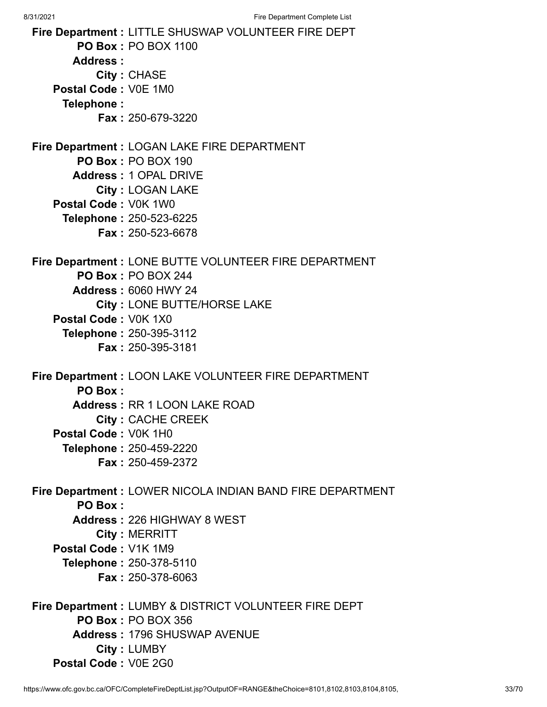8/31/2021 Fire Department Complete List **Fire Department :** LITTLE SHUSWAP VOLUNTEER FIRE DEPT **PO Box :** PO BOX 1100 **Address : City :** CHASE **Postal Code :** V0E 1M0 **Telephone : Fax :** 250-679-3220 **Fire Department :** LOGAN LAKE FIRE DEPARTMENT **PO Box :** PO BOX 190 **Address :** 1 OPAL DRIVE **City :** LOGAN LAKE **Postal Code :** V0K 1W0 **Telephone :** 250-523-6225 **Fax :** 250-523-6678 **Fire Department :** LONE BUTTE VOLUNTEER FIRE DEPARTMENT **PO Box :** PO BOX 244 **Address :** 6060 HWY 24 **City :** LONE BUTTE/HORSE LAKE **Postal Code :** V0K 1X0 **Telephone :** 250-395-3112 **Fax :** 250-395-3181 **Fire Department :** LOON LAKE VOLUNTEER FIRE DEPARTMENT **PO Box : Address :** RR 1 LOON LAKE ROAD **City :** CACHE CREEK **Postal Code :** V0K 1H0 **Telephone :** 250-459-2220 **Fax :** 250-459-2372 **Fire Department :** LOWER NICOLA INDIAN BAND FIRE DEPARTMENT **PO Box : Address :** 226 HIGHWAY 8 WEST **City :** MERRITT **Postal Code :** V1K 1M9 **Telephone :** 250-378-5110 **Fax :** 250-378-6063 **Fire Department :** LUMBY & DISTRICT VOLUNTEER FIRE DEPT **PO Box :** PO BOX 356

- **Address :** 1796 SHUSWAP AVENUE
- **City :** LUMBY
- **Postal Code :** V0E 2G0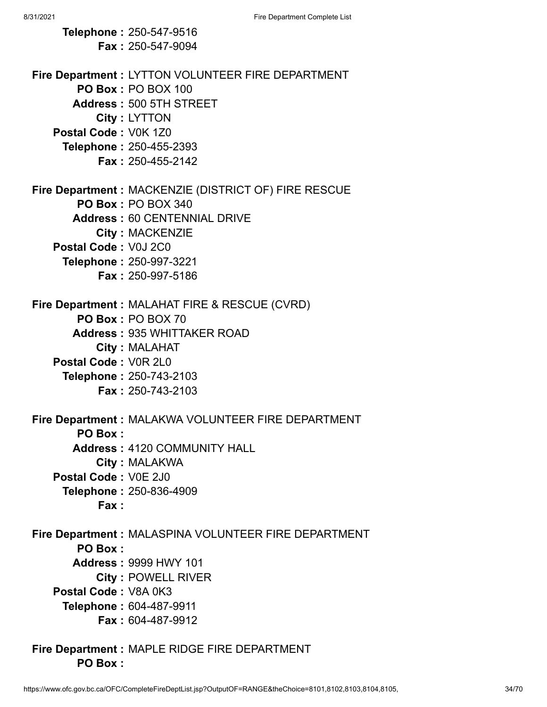**Telephone :** 250-547-9516 **Fax :** 250-547-9094 **Fire Department :** LYTTON VOLUNTEER FIRE DEPARTMENT **PO Box :** PO BOX 100 **Address :** 500 5TH STREET **City :** LYTTON **Postal Code :** V0K 1Z0 **Telephone :** 250-455-2393 **Fax :** 250-455-2142 **Fire Department :** MACKENZIE (DISTRICT OF) FIRE RESCUE **PO Box :** PO BOX 340 **Address :** 60 CENTENNIAL DRIVE **City :** MACKENZIE **Postal Code :** V0J 2C0 **Telephone :** 250-997-3221 **Fax :** 250-997-5186 **Fire Department :** MALAHAT FIRE & RESCUE (CVRD) **PO Box :** PO BOX 70 **Address :** 935 WHITTAKER ROAD **City :** MALAHAT **Postal Code :** V0R 2L0 **Telephone :** 250-743-2103 **Fax :** 250-743-2103 **Fire Department :** MALAKWA VOLUNTEER FIRE DEPARTMENT **PO Box : Address :** 4120 COMMUNITY HALL **City :** MALAKWA **Postal Code :** V0E 2J0 **Telephone :** 250-836-4909 **Fax : Fire Department :** MALASPINA VOLUNTEER FIRE DEPARTMENT **PO Box : Address :** 9999 HWY 101 **City :** POWELL RIVER **Postal Code :** V8A 0K3 **Telephone :** 604-487-9911 **Fax :** 604-487-9912 **Fire Department :** MAPLE RIDGE FIRE DEPARTMENT

**PO Box :**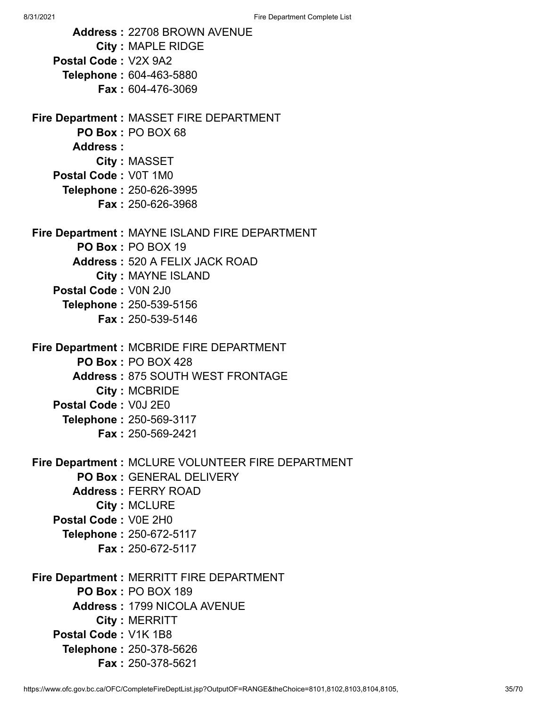**Address :** 22708 BROWN AVENUE **City :** MAPLE RIDGE **Postal Code :** V2X 9A2 **Telephone :** 604-463-5880 **Fax :** 604-476-3069 **Fire Department :** MASSET FIRE DEPARTMENT **PO Box :** PO BOX 68 **Address : City :** MASSET **Postal Code :** V0T 1M0 **Telephone :** 250-626-3995 **Fax :** 250-626-3968 **Fire Department :** MAYNE ISLAND FIRE DEPARTMENT **PO Box :** PO BOX 19 **Address :** 520 A FELIX JACK ROAD **City :** MAYNE ISLAND **Postal Code :** V0N 2J0 **Telephone :** 250-539-5156 **Fax :** 250-539-5146 **Fire Department :** MCBRIDE FIRE DEPARTMENT **PO Box :** PO BOX 428 **Address :** 875 SOUTH WEST FRONTAGE **City :** MCBRIDE **Postal Code :** V0J 2E0 **Telephone :** 250-569-3117 **Fax :** 250-569-2421 **Fire Department :** MCLURE VOLUNTEER FIRE DEPARTMENT **PO Box :** GENERAL DELIVERY **Address :** FERRY ROAD **City :** MCLURE **Postal Code :** V0E 2H0 **Telephone :** 250-672-5117 **Fax :** 250-672-5117 **Fire Department :** MERRITT FIRE DEPARTMENT **PO Box :** PO BOX 189 **Address :** 1799 NICOLA AVENUE **City :** MERRITT **Postal Code :** V1K 1B8 **Telephone :** 250-378-5626 **Fax :** 250-378-5621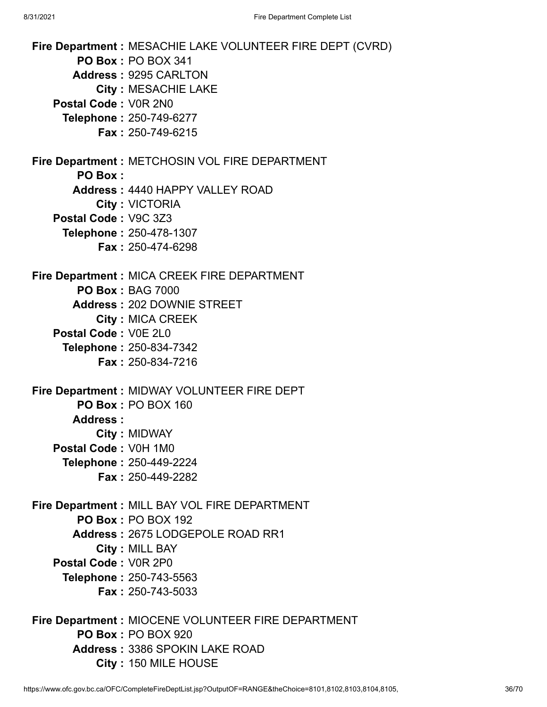| Fire Department : MESACHIE LAKE VOLUNTEER FIRE DEPT (CVRD)<br><b>PO Box: PO BOX 341</b> |
|-----------------------------------------------------------------------------------------|
| <b>Address: 9295 CARLTON</b>                                                            |
| <b>City: MESACHIE LAKE</b>                                                              |
| Postal Code: V0R 2N0                                                                    |
| Telephone: 250-749-6277                                                                 |
| <b>Fax: 250-749-6215</b>                                                                |
|                                                                                         |
| Fire Department : METCHOSIN VOL FIRE DEPARTMENT                                         |
| PO Box:                                                                                 |
| <b>Address: 4440 HAPPY VALLEY ROAD</b>                                                  |
| City: VICTORIA                                                                          |
| Postal Code: V9C 3Z3                                                                    |
| Telephone: 250-478-1307                                                                 |
| <b>Fax: 250-474-6298</b>                                                                |
|                                                                                         |
| Fire Department : MICA CREEK FIRE DEPARTMENT                                            |
| <b>PO Box: BAG 7000</b>                                                                 |
| <b>Address: 202 DOWNIE STREET</b>                                                       |
| <b>City: MICA CREEK</b>                                                                 |
| Postal Code: V0E 2L0                                                                    |
| Telephone: 250-834-7342<br><b>Fax: 250-834-7216</b>                                     |
|                                                                                         |
| Fire Department : MIDWAY VOLUNTEER FIRE DEPT                                            |
| <b>PO Box: PO BOX 160</b>                                                               |
| Address:                                                                                |
| <b>City: MIDWAY</b>                                                                     |
| Postal Code: V0H 1M0                                                                    |
| Telephone: 250-449-2224                                                                 |
| <b>Fax: 250-449-2282</b>                                                                |
|                                                                                         |
| Fire Department : MILL BAY VOL FIRE DEPARTMENT<br><b>PO Box: PO BOX 192</b>             |
| Address: 2675 LODGEPOLE ROAD RR1                                                        |
| <b>City: MILL BAY</b>                                                                   |
| Postal Code: V0R 2P0                                                                    |
| Telephone: 250-743-5563                                                                 |
| <b>Fax: 250-743-5033</b>                                                                |
|                                                                                         |
| Fire Department : MIOCENE VOLUNTEER FIRE DEPARTMENT                                     |
| <b>PO Box: PO BOX 920</b>                                                               |
| <b>Address: 3386 SPOKIN LAKE ROAD</b>                                                   |
|                                                                                         |

**City :** 150 MILE HOUSE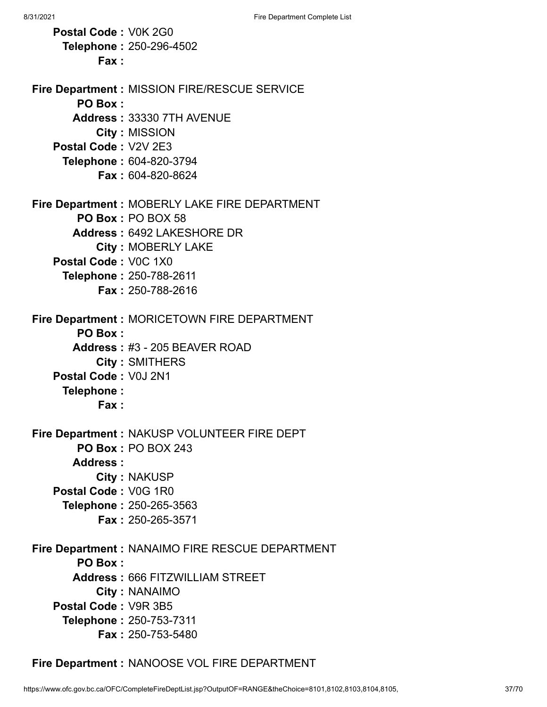**Postal Code :** V0K 2G0 **Telephone :** 250-296-4502 **Fax : Fire Department :** MISSION FIRE/RESCUE SERVICE **PO Box : Address :** 33330 7TH AVENUE **City :** MISSION **Postal Code :** V2V 2E3 **Telephone :** 604-820-3794 **Fax :** 604-820-8624 **Fire Department :** MOBERLY LAKE FIRE DEPARTMENT **PO Box :** PO BOX 58 **Address :** 6492 LAKESHORE DR **City :** MOBERLY LAKE **Postal Code :** V0C 1X0 **Telephone :** 250-788-2611 **Fax :** 250-788-2616 **Fire Department :** MORICETOWN FIRE DEPARTMENT **PO Box : Address :** #3 - 205 BEAVER ROAD **City :** SMITHERS **Postal Code :** V0J 2N1 **Telephone : Fax : Fire Department :** NAKUSP VOLUNTEER FIRE DEPT **PO Box :** PO BOX 243 **Address : City :** NAKUSP **Postal Code :** V0G 1R0 **Telephone :** 250-265-3563 **Fax :** 250-265-3571 **Fire Department :** NANAIMO FIRE RESCUE DEPARTMENT **PO Box : Address :** 666 FITZWILLIAM STREET **City :** NANAIMO **Postal Code :** V9R 3B5 **Telephone :** 250-753-7311 **Fax :** 250-753-5480

**Fire Department :** NANOOSE VOL FIRE DEPARTMENT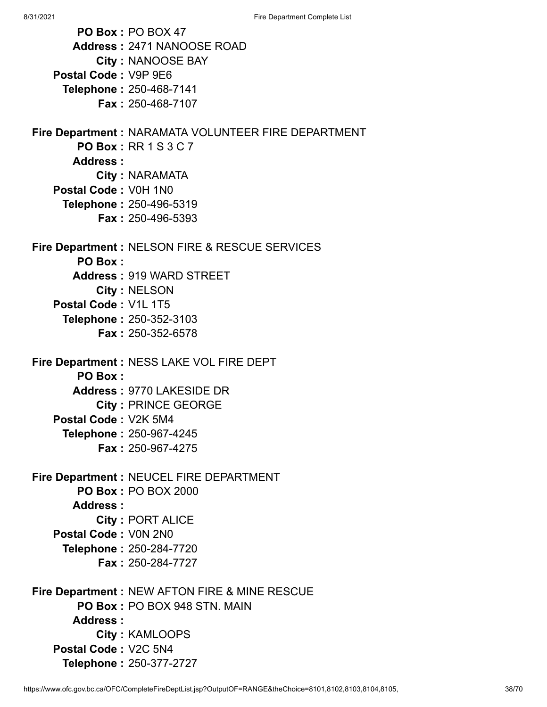**PO Box :** PO BOX 47 **Address :** 2471 NANOOSE ROAD **City :** NANOOSE BAY **Postal Code :** V9P 9E6 **Telephone :** 250-468-7141 **Fax :** 250-468-7107 **Fire Department :** NARAMATA VOLUNTEER FIRE DEPARTMENT **PO Box :** RR 1 S 3 C 7 **Address : City :** NARAMATA **Postal Code :** V0H 1N0 **Telephone :** 250-496-5319 **Fax :** 250-496-5393 **Fire Department :** NELSON FIRE & RESCUE SERVICES **PO Box : Address :** 919 WARD STREET **City :** NELSON **Postal Code :** V1L 1T5 **Telephone :** 250-352-3103 **Fax :** 250-352-6578 **Fire Department :** NESS LAKE VOL FIRE DEPT **PO Box : Address :** 9770 LAKESIDE DR **City :** PRINCE GEORGE **Postal Code :** V2K 5M4 **Telephone :** 250-967-4245 **Fax :** 250-967-4275 **Fire Department :** NEUCEL FIRE DEPARTMENT **PO Box :** PO BOX 2000 **Address : City :** PORT ALICE **Postal Code :** V0N 2N0 **Telephone :** 250-284-7720 **Fax :** 250-284-7727 **Fire Department :** NEW AFTON FIRE & MINE RESCUE **PO Box :** PO BOX 948 STN. MAIN **Address : City :** KAMLOOPS **Postal Code :** V2C 5N4

**Telephone :** 250-377-2727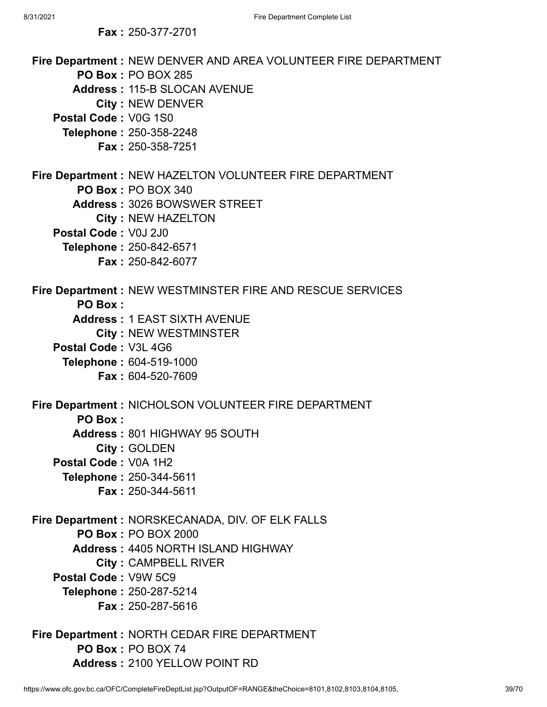**Fire Department :** NEW DENVER AND AREA VOLUNTEER FIRE DEPARTMENT **PO Box :** PO BOX 285 **Address :** 115-B SLOCAN AVENUE **City :** NEW DENVER **Postal Code :** V0G 1S0 **Telephone :** 250-358-2248 **Fax :** 250-358-7251 **Fire Department :** NEW HAZELTON VOLUNTEER FIRE DEPARTMENT **PO Box :** PO BOX 340 **Address :** 3026 BOWSWER STREET **City :** NEW HAZELTON **Postal Code :** V0J 2J0 **Telephone :** 250-842-6571 **Fax :** 250-842-6077 **Fire Department :** NEW WESTMINSTER FIRE AND RESCUE SERVICES **PO Box : Address :** 1 EAST SIXTH AVENUE **City :** NEW WESTMINSTER **Postal Code :** V3L 4G6 **Telephone :** 604-519-1000 **Fax :** 604-520-7609 **Fire Department :** NICHOLSON VOLUNTEER FIRE DEPARTMENT **PO Box : Address :** 801 HIGHWAY 95 SOUTH **City :** GOLDEN **Postal Code :** V0A 1H2 **Telephone :** 250-344-5611 **Fax :** 250-344-5611 **Fire Department :** NORSKECANADA, DIV. OF ELK FALLS **PO Box :** PO BOX 2000 **Address :** 4405 NORTH ISLAND HIGHWAY **City :** CAMPBELL RIVER **Postal Code :** V9W 5C9 **Telephone :** 250-287-5214 **Fax :** 250-287-5616

**Fire Department :** NORTH CEDAR FIRE DEPARTMENT **PO Box :** PO BOX 74 **Address :** 2100 YELLOW POINT RD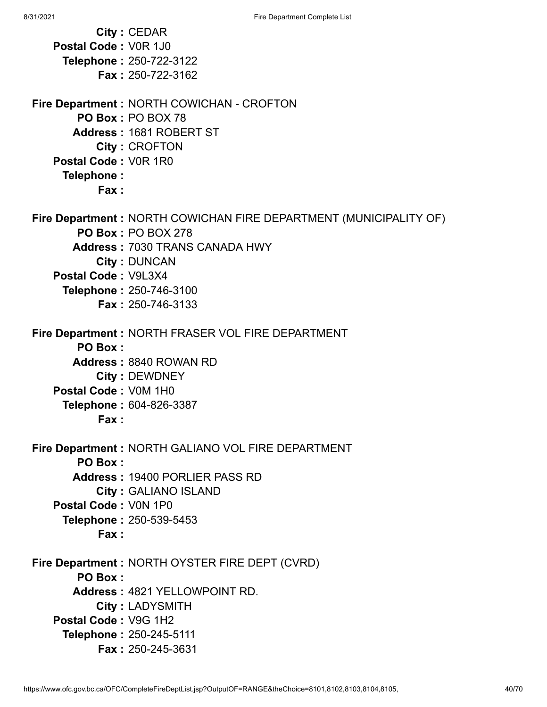**City :** CEDAR **Postal Code :** V0R 1J0 **Telephone :** 250-722-3122 **Fax :** 250-722-3162 **Fire Department :** NORTH COWICHAN - CROFTON **PO Box :** PO BOX 78 **Address :** 1681 ROBERT ST **City :** CROFTON **Postal Code :** V0R 1R0 **Telephone : Fax : Fire Department :** NORTH COWICHAN FIRE DEPARTMENT (MUNICIPALITY OF) **PO Box :** PO BOX 278 **Address :** 7030 TRANS CANADA HWY **City :** DUNCAN **Postal Code :** V9L3X4 **Telephone :** 250-746-3100 **Fax :** 250-746-3133 **Fire Department :** NORTH FRASER VOL FIRE DEPARTMENT **PO Box : Address :** 8840 ROWAN RD **City :** DEWDNEY **Postal Code :** V0M 1H0 **Telephone :** 604-826-3387 **Fax : Fire Department :** NORTH GALIANO VOL FIRE DEPARTMENT **PO Box : Address :** 19400 PORLIER PASS RD **City :** GALIANO ISLAND **Postal Code :** V0N 1P0 **Telephone :** 250-539-5453 **Fax : Fire Department :** NORTH OYSTER FIRE DEPT (CVRD) **PO Box : Address :** 4821 YELLOWPOINT RD. **City :** LADYSMITH **Postal Code :** V9G 1H2 **Telephone :** 250-245-5111 **Fax :** 250-245-3631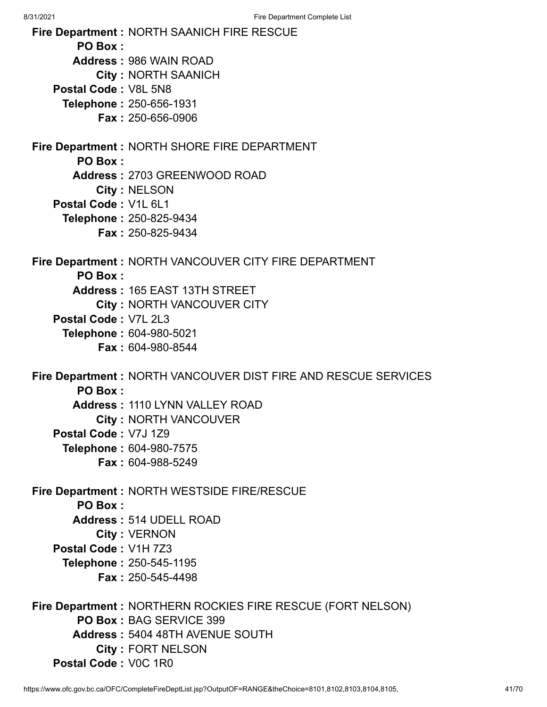**Fire Department :** NORTH SAANICH FIRE RESCUE **PO Box : Address :** 986 WAIN ROAD **City :** NORTH SAANICH **Postal Code :** V8L 5N8 **Telephone :** 250-656-1931 **Fax :** 250-656-0906 **Fire Department :** NORTH SHORE FIRE DEPARTMENT **PO Box : Address :** 2703 GREENWOOD ROAD **City :** NELSON **Postal Code :** V1L 6L1 **Telephone :** 250-825-9434 **Fax :** 250-825-9434 **Fire Department :** NORTH VANCOUVER CITY FIRE DEPARTMENT **PO Box : Address :** 165 EAST 13TH STREET **City :** NORTH VANCOUVER CITY **Postal Code :** V7L 2L3 **Telephone :** 604-980-5021 **Fax :** 604-980-8544 **Fire Department :** NORTH VANCOUVER DIST FIRE AND RESCUE SERVICES **PO Box : Address :** 1110 LYNN VALLEY ROAD **City :** NORTH VANCOUVER **Postal Code :** V7J 1Z9 **Telephone :** 604-980-7575 **Fax :** 604-988-5249 **Fire Department :** NORTH WESTSIDE FIRE/RESCUE **PO Box : Address :** 514 UDELL ROAD **City :** VERNON **Postal Code :** V1H 7Z3 **Telephone :** 250-545-1195 **Fax :** 250-545-4498 **Fire Department :** NORTHERN ROCKIES FIRE RESCUE (FORT NELSON) **PO Box :** BAG SERVICE 399 **Address :** 5404 48TH AVENUE SOUTH **City :** FORT NELSON

**Postal Code :** V0C 1R0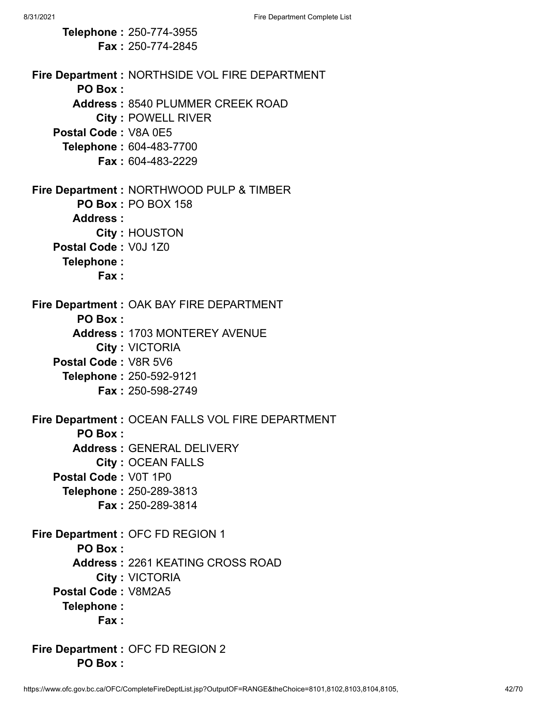**Telephone :** 250-774-3955 **Fax :** 250-774-2845 **Fire Department :** NORTHSIDE VOL FIRE DEPARTMENT **PO Box : Address :** 8540 PLUMMER CREEK ROAD **City :** POWELL RIVER **Postal Code :** V8A 0E5 **Telephone :** 604-483-7700 **Fax :** 604-483-2229 **Fire Department :** NORTHWOOD PULP & TIMBER **PO Box :** PO BOX 158 **Address : City :** HOUSTON **Postal Code :** V0J 1Z0 **Telephone : Fax : Fire Department :** OAK BAY FIRE DEPARTMENT **PO Box : Address :** 1703 MONTEREY AVENUE **City :** VICTORIA **Postal Code :** V8R 5V6 **Telephone :** 250-592-9121 **Fax :** 250-598-2749 **Fire Department :** OCEAN FALLS VOL FIRE DEPARTMENT **PO Box : Address :** GENERAL DELIVERY **City :** OCEAN FALLS **Postal Code :** V0T 1P0 **Telephone :** 250-289-3813 **Fax :** 250-289-3814 **Fire Department :** OFC FD REGION 1 **PO Box : Address :** 2261 KEATING CROSS ROAD **City :** VICTORIA **Postal Code :** V8M2A5 **Telephone : Fax : Fire Department :** OFC FD REGION 2

**PO Box :**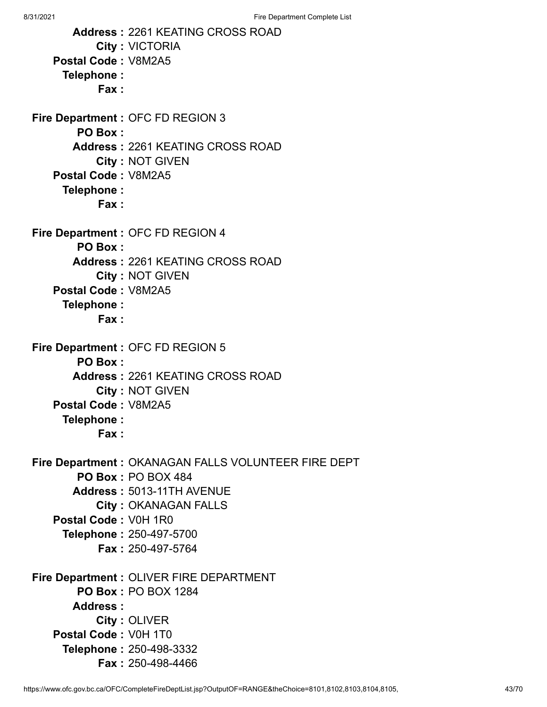**Address :** 2261 KEATING CROSS ROAD **City :** VICTORIA **Postal Code :** V8M2A5 **Telephone : Fax : Fire Department :** OFC FD REGION 3 **PO Box : Address :** 2261 KEATING CROSS ROAD **City :** NOT GIVEN **Postal Code :** V8M2A5 **Telephone : Fax : Fire Department :** OFC FD REGION 4 **PO Box : Address :** 2261 KEATING CROSS ROAD **City :** NOT GIVEN **Postal Code :** V8M2A5 **Telephone : Fax : Fire Department :** OFC FD REGION 5 **PO Box : Address :** 2261 KEATING CROSS ROAD **City :** NOT GIVEN **Postal Code :** V8M2A5 **Telephone : Fax : Fire Department :** OKANAGAN FALLS VOLUNTEER FIRE DEPT **PO Box :** PO BOX 484 **Address :** 5013-11TH AVENUE **City :** OKANAGAN FALLS **Postal Code :** V0H 1R0 **Telephone :** 250-497-5700 **Fax :** 250-497-5764 **Fire Department :** OLIVER FIRE DEPARTMENT **PO Box :** PO BOX 1284 **Address : City :** OLIVER **Postal Code :** V0H 1T0 **Telephone :** 250-498-3332 **Fax :** 250-498-4466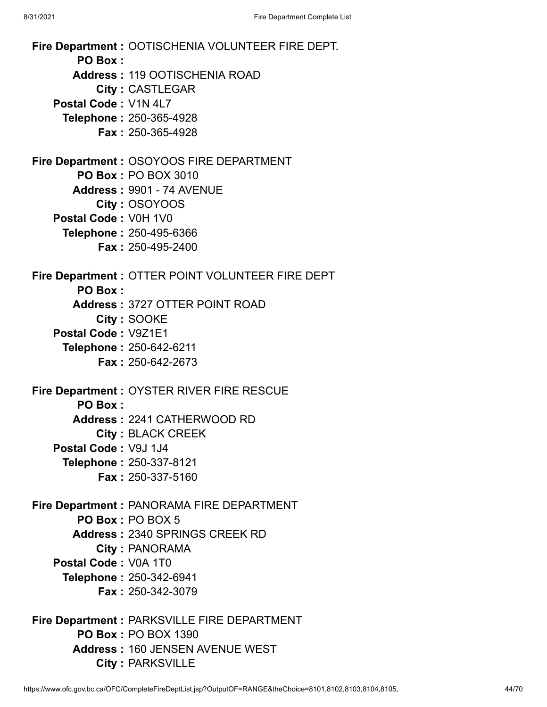**Fire Department :** OOTISCHENIA VOLUNTEER FIRE DEPT. **PO Box : Address :** 119 OOTISCHENIA ROAD **City :** CASTLEGAR **Postal Code :** V1N 4L7 **Telephone :** 250-365-4928 **Fax :** 250-365-4928 **Fire Department :** OSOYOOS FIRE DEPARTMENT **PO Box :** PO BOX 3010 **Address :** 9901 - 74 AVENUE **City :** OSOYOOS **Postal Code :** V0H 1V0 **Telephone :** 250-495-6366 **Fax :** 250-495-2400 **Fire Department :** OTTER POINT VOLUNTEER FIRE DEPT **PO Box : Address :** 3727 OTTER POINT ROAD **City :** SOOKE **Postal Code :** V9Z1E1 **Telephone :** 250-642-6211 **Fax :** 250-642-2673 **Fire Department :** OYSTER RIVER FIRE RESCUE **PO Box : Address :** 2241 CATHERWOOD RD **City :** BLACK CREEK **Postal Code :** V9J 1J4 **Telephone :** 250-337-8121 **Fax :** 250-337-5160 **Fire Department :** PANORAMA FIRE DEPARTMENT **PO Box :** PO BOX 5 **Address :** 2340 SPRINGS CREEK RD **City :** PANORAMA **Postal Code :** V0A 1T0 **Telephone :** 250-342-6941 **Fax :** 250-342-3079 **Fire Department :** PARKSVILLE FIRE DEPARTMENT **PO Box :** PO BOX 1390 **Address :** 160 JENSEN AVENUE WEST

**City :** PARKSVILLE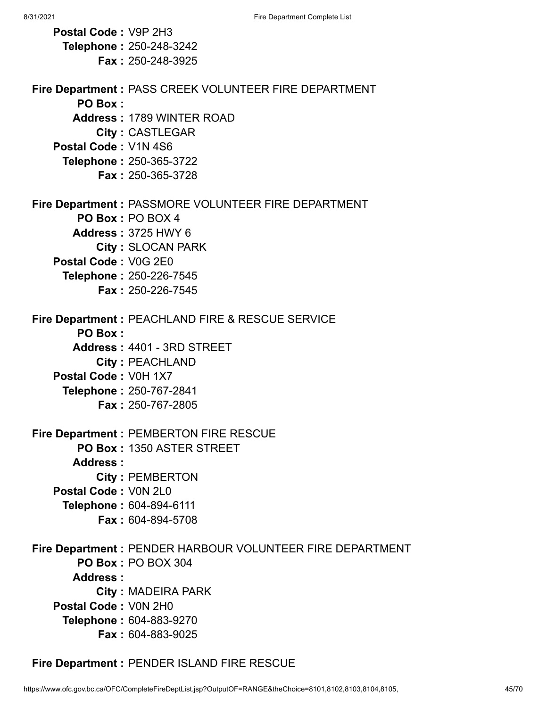**Postal Code :** V9P 2H3 **Telephone :** 250-248-3242 **Fax :** 250-248-3925 **Fire Department :** PASS CREEK VOLUNTEER FIRE DEPARTMENT **PO Box : Address :** 1789 WINTER ROAD **City :** CASTLEGAR **Postal Code :** V1N 4S6 **Telephone :** 250-365-3722 **Fax :** 250-365-3728 **Fire Department :** PASSMORE VOLUNTEER FIRE DEPARTMENT **PO Box :** PO BOX 4 **Address :** 3725 HWY 6 **City :** SLOCAN PARK **Postal Code :** V0G 2E0 **Telephone :** 250-226-7545 **Fax :** 250-226-7545 **Fire Department :** PEACHLAND FIRE & RESCUE SERVICE **PO Box : Address :** 4401 - 3RD STREET **City :** PEACHLAND **Postal Code :** V0H 1X7 **Telephone :** 250-767-2841 **Fax :** 250-767-2805 **Fire Department :** PEMBERTON FIRE RESCUE **PO Box :** 1350 ASTER STREET **Address : City :** PEMBERTON **Postal Code :** V0N 2L0 **Telephone :** 604-894-6111 **Fax :** 604-894-5708 **Fire Department :** PENDER HARBOUR VOLUNTEER FIRE DEPARTMENT **PO Box :** PO BOX 304 **Address : City :** MADEIRA PARK **Postal Code :** V0N 2H0 **Telephone :** 604-883-9270 **Fax :** 604-883-9025

**Fire Department :** PENDER ISLAND FIRE RESCUE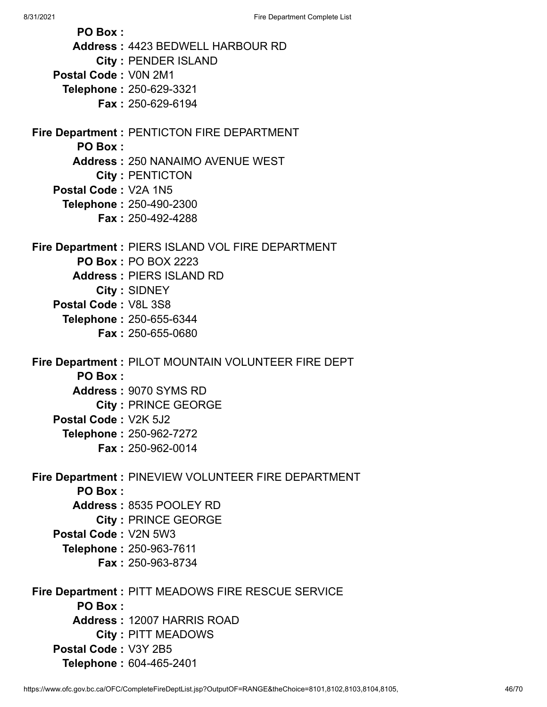8/31/2021 **Fire Department Complete List PO Box : Address :** 4423 BEDWELL HARBOUR RD **City :** PENDER ISLAND **Postal Code :** V0N 2M1 **Telephone :** 250-629-3321 **Fax :** 250-629-6194 **Fire Department :** PENTICTON FIRE DEPARTMENT **PO Box : Address :** 250 NANAIMO AVENUE WEST **City :** PENTICTON **Postal Code :** V2A 1N5 **Telephone :** 250-490-2300 **Fax :** 250-492-4288 **Fire Department :** PIERS ISLAND VOL FIRE DEPARTMENT **PO Box :** PO BOX 2223 **Address :** PIERS ISLAND RD **City :** SIDNEY **Postal Code :** V8L 3S8 **Telephone :** 250-655-6344 **Fax :** 250-655-0680 **Fire Department :** PILOT MOUNTAIN VOLUNTEER FIRE DEPT **PO Box : Address :** 9070 SYMS RD **City :** PRINCE GEORGE **Postal Code :** V2K 5J2 **Telephone :** 250-962-7272 **Fax :** 250-962-0014 **Fire Department :** PINEVIEW VOLUNTEER FIRE DEPARTMENT **PO Box : Address :** 8535 POOLEY RD **City :** PRINCE GEORGE **Postal Code :** V2N 5W3 **Telephone :** 250-963-7611 **Fax :** 250-963-8734

**Fire Department :** PITT MEADOWS FIRE RESCUE SERVICE **PO Box : Address :** 12007 HARRIS ROAD **City :** PITT MEADOWS **Postal Code :** V3Y 2B5 **Telephone :** 604-465-2401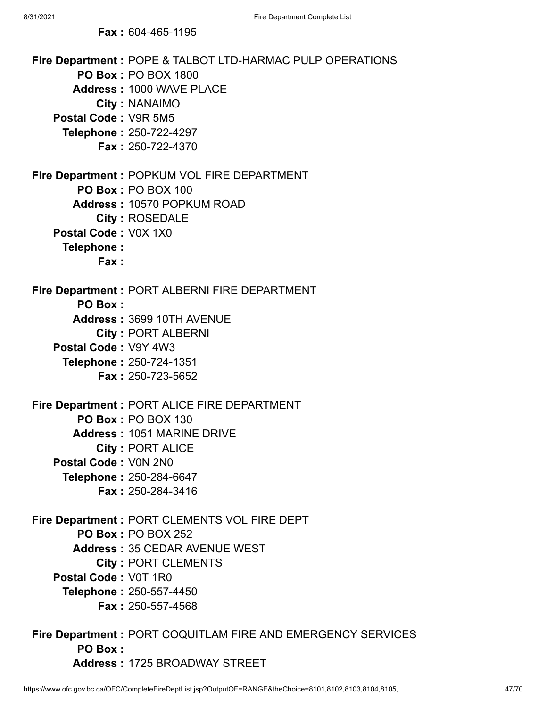**Fax :** 604-465-1195

| Postal Code: V9R 5M5                       | Fire Department : POPE & TALBOT LTD-HARMAC PULP OPERATIONS<br><b>PO Box: PO BOX 1800</b><br><b>Address: 1000 WAVE PLACE</b><br>City: NANAIMO<br>Telephone: 250-722-4297<br><b>Fax: 250-722-4370</b>            |
|--------------------------------------------|----------------------------------------------------------------------------------------------------------------------------------------------------------------------------------------------------------------|
| Postal Code: V0X 1X0<br>Telephone:<br>Fax: | Fire Department : POPKUM VOL FIRE DEPARTMENT<br>PO Box: PO BOX 100<br><b>Address: 10570 POPKUM ROAD</b><br><b>City: ROSEDALE</b>                                                                               |
| PO Box:<br>Postal Code: V9Y 4W3            | <b>Fire Department: PORT ALBERNI FIRE DEPARTMENT</b><br>Address: 3699 10TH AVENUE<br><b>City: PORT ALBERNI</b><br>Telephone: 250-724-1351<br><b>Fax: 250-723-5652</b>                                          |
| Postal Code: V0N 2N0                       | Fire Department : PORT ALICE FIRE DEPARTMENT<br><b>PO Box: PO BOX 130</b><br><b>Address: 1051 MARINE DRIVE</b><br><b>City: PORT ALICE</b><br>Telephone: 250-284-6647<br>Fax: 250-284-3416                      |
| Postal Code: V0T 1R0                       | Fire Department : PORT CLEMENTS VOL FIRE DEPT<br><b>PO Box: PO BOX 252</b><br><b>Address: 35 CEDAR AVENUE WEST</b><br><b>City: PORT CLEMENTS</b><br><b>Telephone: 250-557-4450</b><br><b>Fax: 250-557-4568</b> |
| PO Box:                                    | Fire Department : PORT COQUITLAM FIRE AND EMERGENCY SERVICES                                                                                                                                                   |

**Address :** 1725 BROADWAY STREET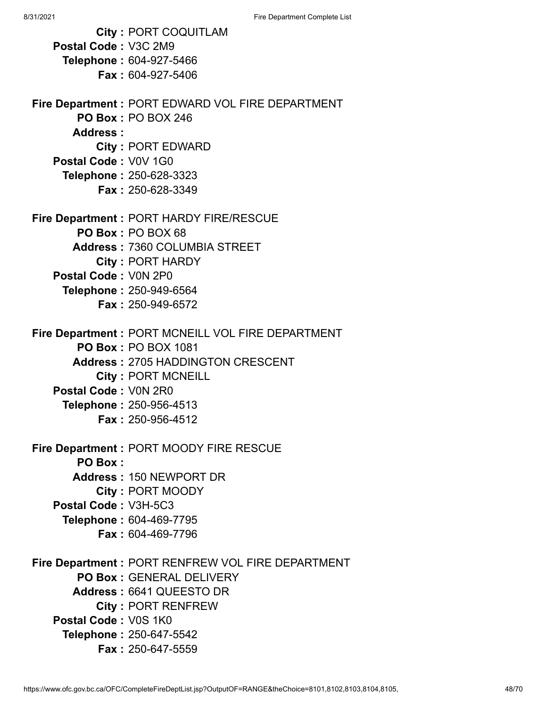|                      | <b>City: PORT COQUITLAM</b>                         |
|----------------------|-----------------------------------------------------|
| Postal Code: V3C 2M9 |                                                     |
|                      | Telephone: 604-927-5466                             |
|                      | <b>Fax: 604-927-5406</b>                            |
|                      |                                                     |
|                      | Fire Department : PORT EDWARD VOL FIRE DEPARTMENT   |
|                      | <b>PO Box: PO BOX 246</b>                           |
| Address:             |                                                     |
|                      | City: PORT EDWARD                                   |
| Postal Code: V0V 1G0 |                                                     |
|                      | <b>Telephone: 250-628-3323</b>                      |
|                      | <b>Fax: 250-628-3349</b>                            |
|                      |                                                     |
|                      | Fire Department : PORT HARDY FIRE/RESCUE            |
|                      | PO Box: PO BOX 68                                   |
|                      | <b>Address: 7360 COLUMBIA STREET</b>                |
|                      | <b>City: PORT HARDY</b>                             |
| Postal Code: V0N 2P0 |                                                     |
|                      | <b>Telephone: 250-949-6564</b>                      |
|                      | <b>Fax: 250-949-6572</b>                            |
|                      |                                                     |
|                      | Fire Department : PORT MCNEILL VOL FIRE DEPARTMENT  |
|                      | <b>PO Box: PO BOX 1081</b>                          |
|                      | <b>Address: 2705 HADDINGTON CRESCENT</b>            |
|                      | <b>City: PORT MCNEILL</b>                           |
| Postal Code: V0N 2R0 |                                                     |
|                      | <b>Telephone: 250-956-4513</b>                      |
|                      | <b>Fax: 250-956-4512</b>                            |
|                      |                                                     |
| <b>PO Box:</b>       | Fire Department : PORT MOODY FIRE RESCUE            |
|                      | Address: 150 NEWPORT DR                             |
|                      |                                                     |
| Postal Code: V3H-5C3 | City: PORT MOODY                                    |
|                      |                                                     |
|                      | <b>Telephone: 604-469-7795</b><br>Fax: 604-469-7796 |
|                      |                                                     |
|                      | Fire Department : PORT RENFREW VOL FIRE DEPARTMENT  |
|                      | <b>PO Box: GENERAL DELIVERY</b>                     |
|                      | Address: 6641 QUEESTO DR                            |
|                      | <b>City: PORT RENFREW</b>                           |
| Postal Code: V0S 1K0 |                                                     |
|                      | Telephone: 250-647-5542                             |
|                      | <b>Fax: 250-647-5559</b>                            |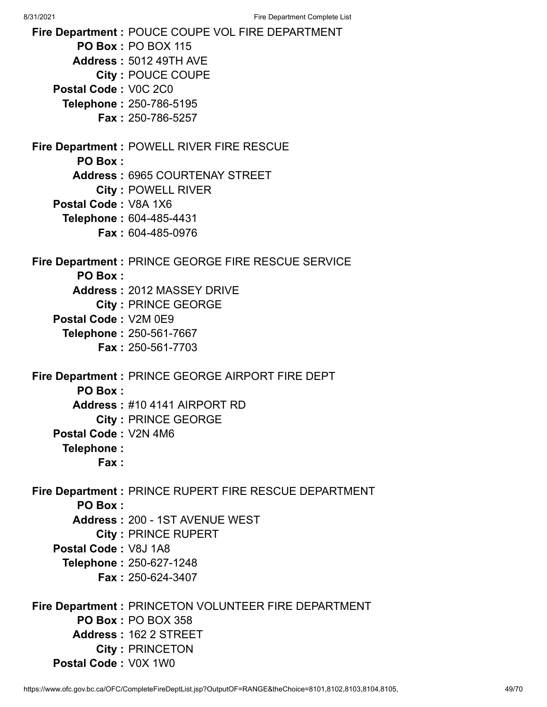**Fire Department :** POUCE COUPE VOL FIRE DEPARTMENT **PO Box :** PO BOX 115 **Address :** 5012 49TH AVE **City :** POUCE COUPE **Postal Code :** V0C 2C0 **Telephone :** 250-786-5195 **Fax :** 250-786-5257 **Fire Department :** POWELL RIVER FIRE RESCUE **PO Box : Address :** 6965 COURTENAY STREET **City :** POWELL RIVER **Postal Code :** V8A 1X6 **Telephone :** 604-485-4431 **Fax :** 604-485-0976 **Fire Department :** PRINCE GEORGE FIRE RESCUE SERVICE **PO Box : Address :** 2012 MASSEY DRIVE **City :** PRINCE GEORGE **Postal Code :** V2M 0E9 **Telephone :** 250-561-7667 **Fax :** 250-561-7703 **Fire Department :** PRINCE GEORGE AIRPORT FIRE DEPT **PO Box : Address :** #10 4141 AIRPORT RD **City :** PRINCE GEORGE **Postal Code :** V2N 4M6 **Telephone : Fax : Fire Department :** PRINCE RUPERT FIRE RESCUE DEPARTMENT **PO Box : Address :** 200 - 1ST AVENUE WEST **City :** PRINCE RUPERT **Postal Code :** V8J 1A8 **Telephone :** 250-627-1248 **Fax :** 250-624-3407 **Fire Department :** PRINCETON VOLUNTEER FIRE DEPARTMENT **PO Box :** PO BOX 358 **Address :** 162 2 STREET **City :** PRINCETON **Postal Code :** V0X 1W0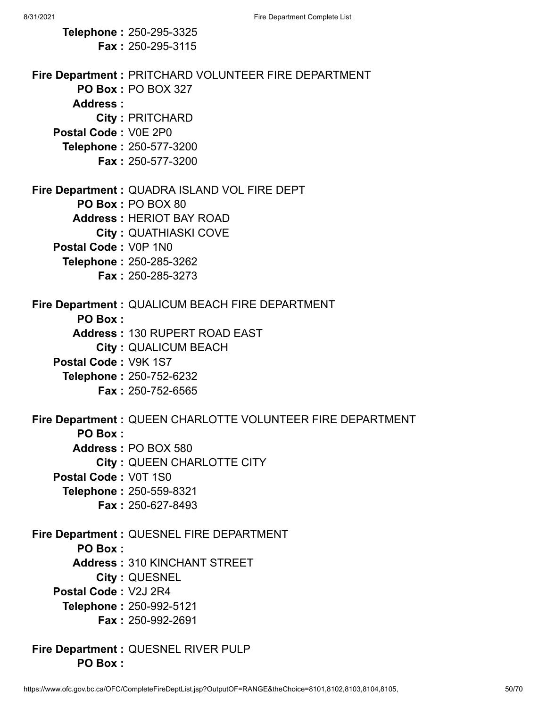|                      | Telephone: 250-295-3325                                    |
|----------------------|------------------------------------------------------------|
|                      | <b>Fax: 250-295-3115</b>                                   |
|                      |                                                            |
|                      | Fire Department : PRITCHARD VOLUNTEER FIRE DEPARTMENT      |
|                      | <b>PO Box: PO BOX 327</b>                                  |
| Address:             |                                                            |
|                      | <b>City: PRITCHARD</b>                                     |
| Postal Code: V0E 2P0 |                                                            |
|                      | Telephone: 250-577-3200                                    |
|                      | <b>Fax: 250-577-3200</b>                                   |
|                      |                                                            |
|                      | Fire Department : QUADRA ISLAND VOL FIRE DEPT              |
|                      | PO Box: PO BOX 80                                          |
|                      | <b>Address: HERIOT BAY ROAD</b>                            |
|                      | <b>City: QUATHIASKI COVE</b>                               |
| Postal Code: V0P 1N0 |                                                            |
|                      | Telephone: 250-285-3262<br><b>Fax: 250-285-3273</b>        |
|                      |                                                            |
|                      | Fire Department : QUALICUM BEACH FIRE DEPARTMENT           |
| <b>PO Box:</b>       |                                                            |
|                      | <b>Address: 130 RUPERT ROAD EAST</b>                       |
|                      | <b>City: QUALICUM BEACH</b>                                |
| Postal Code: V9K 1S7 |                                                            |
|                      | Telephone: 250-752-6232                                    |
|                      | <b>Fax: 250-752-6565</b>                                   |
|                      |                                                            |
|                      | Fire Department: QUEEN CHARLOTTE VOLUNTEER FIRE DEPARTMENT |
| PO Box:              |                                                            |
|                      | Address: PO BOX 580                                        |
|                      | <b>City: QUEEN CHARLOTTE CITY</b>                          |
| Postal Code: V0T 1S0 |                                                            |
|                      | Telephone: 250-559-8321                                    |
|                      | Fax: 250-627-8493                                          |
|                      |                                                            |
|                      | Fire Department : QUESNEL FIRE DEPARTMENT                  |
| <b>PO Box:</b>       |                                                            |
|                      | <b>Address: 310 KINCHANT STREET</b>                        |
| Postal Code: V2J 2R4 | City: QUESNEL                                              |
|                      |                                                            |
|                      | Telephone: 250-992-5121<br><b>Fax: 250-992-2691</b>        |
|                      |                                                            |
|                      | Fire Department : QUESNEL RIVER PULP                       |

**PO Box :**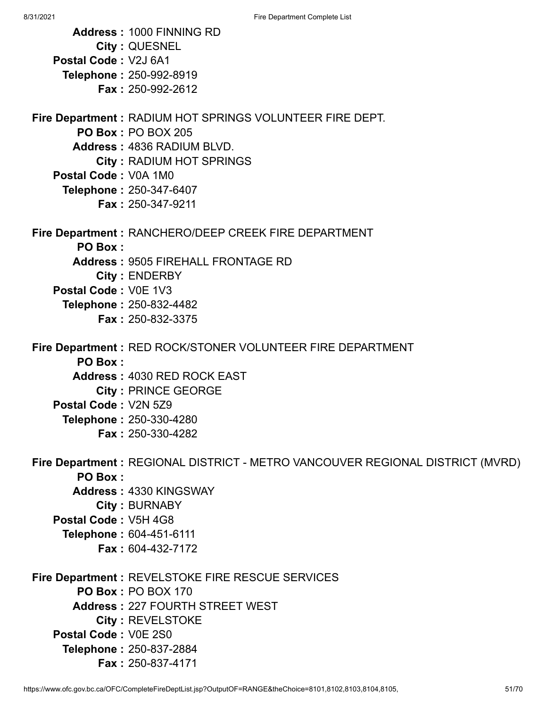**Address :** 1000 FINNING RD **City :** QUESNEL **Postal Code :** V2J 6A1 **Telephone :** 250-992-8919 **Fax :** 250-992-2612 **Fire Department :** RADIUM HOT SPRINGS VOLUNTEER FIRE DEPT. **PO Box :** PO BOX 205 **Address :** 4836 RADIUM BLVD. **City :** RADIUM HOT SPRINGS **Postal Code :** V0A 1M0 **Telephone :** 250-347-6407 **Fax :** 250-347-9211 **Fire Department :** RANCHERO/DEEP CREEK FIRE DEPARTMENT **PO Box : Address :** 9505 FIREHALL FRONTAGE RD **City :** ENDERBY **Postal Code :** V0E 1V3 **Telephone :** 250-832-4482 **Fax :** 250-832-3375 **Fire Department :** RED ROCK/STONER VOLUNTEER FIRE DEPARTMENT **PO Box : Address :** 4030 RED ROCK EAST **City :** PRINCE GEORGE **Postal Code :** V2N 5Z9 **Telephone :** 250-330-4280 **Fax :** 250-330-4282 **Fire Department :** REGIONAL DISTRICT - METRO VANCOUVER REGIONAL DISTRICT (MVRD) **PO Box : Address :** 4330 KINGSWAY **City :** BURNABY **Postal Code :** V5H 4G8 **Telephone :** 604-451-6111 **Fax :** 604-432-7172 **Fire Department :** REVELSTOKE FIRE RESCUE SERVICES **PO Box :** PO BOX 170 **Address :** 227 FOURTH STREET WEST **City :** REVELSTOKE **Postal Code :** V0E 2S0 **Telephone :** 250-837-2884

https://www.ofc.gov.bc.ca/OFC/CompleteFireDeptList.jsp?OutputOF=RANGE&theChoice=8101,8102,8103,8104,8105, 51/70

**Fax :** 250-837-4171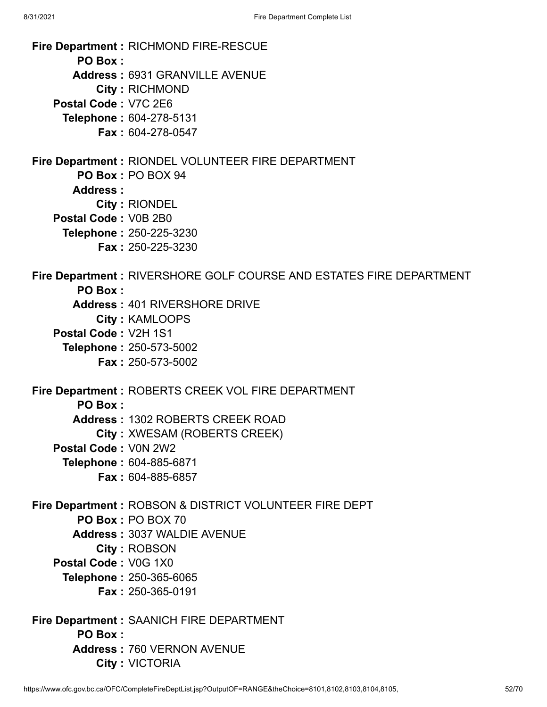8/31/2021 Fire Department Complete List **Fire Department :** RICHMOND FIRE-RESCUE **PO Box : Address :** 6931 GRANVILLE AVENUE **City :** RICHMOND **Postal Code :** V7C 2E6 **Telephone :** 604-278-5131 **Fax :** 604-278-0547 **Fire Department :** RIONDEL VOLUNTEER FIRE DEPARTMENT **PO Box :** PO BOX 94 **Address : City :** RIONDEL **Postal Code :** V0B 2B0 **Telephone :** 250-225-3230 **Fax :** 250-225-3230 **Fire Department :** RIVERSHORE GOLF COURSE AND ESTATES FIRE DEPARTMENT **PO Box : Address :** 401 RIVERSHORE DRIVE **City :** KAMLOOPS **Postal Code :** V2H 1S1 **Telephone :** 250-573-5002 **Fax :** 250-573-5002 **Fire Department :** ROBERTS CREEK VOL FIRE DEPARTMENT **PO Box : Address :** 1302 ROBERTS CREEK ROAD **City :** XWESAM (ROBERTS CREEK)

- **Postal Code :** V0N 2W2
	- **Telephone :** 604-885-6871
		- **Fax :** 604-885-6857
- **Fire Department :** ROBSON & DISTRICT VOLUNTEER FIRE DEPT **PO Box :** PO BOX 70 **Address :** 3037 WALDIE AVENUE
	- **City :** ROBSON
	- **Postal Code :** V0G 1X0
		- **Telephone :** 250-365-6065
			- **Fax :** 250-365-0191
- **Fire Department :** SAANICH FIRE DEPARTMENT **PO Box : Address :** 760 VERNON AVENUE **City :** VICTORIA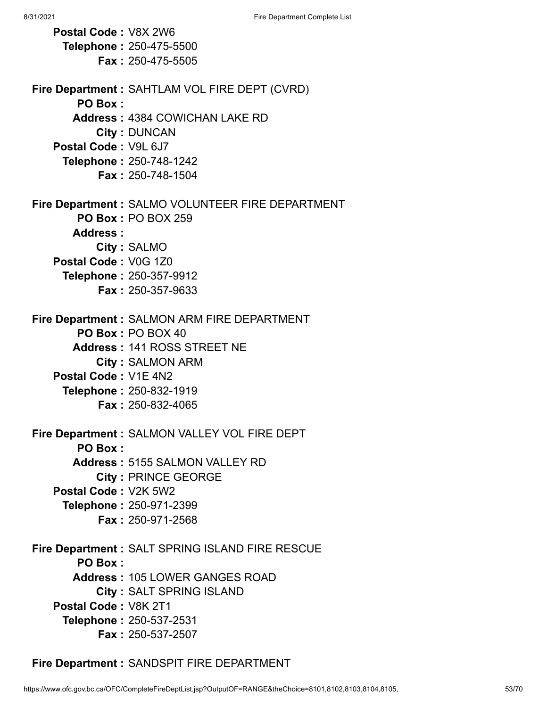**Postal Code :** V8X 2W6 **Telephone :** 250-475-5500 **Fax :** 250-475-5505 **Fire Department :** SAHTLAM VOL FIRE DEPT (CVRD) **PO Box : Address :** 4384 COWICHAN LAKE RD **City :** DUNCAN **Postal Code :** V9L 6J7 **Telephone :** 250-748-1242 **Fax :** 250-748-1504 **Fire Department :** SALMO VOLUNTEER FIRE DEPARTMENT **PO Box :** PO BOX 259 **Address : City :** SALMO **Postal Code :** V0G 1Z0 **Telephone :** 250-357-9912 **Fax :** 250-357-9633 **Fire Department :** SALMON ARM FIRE DEPARTMENT **PO Box :** PO BOX 40 **Address :** 141 ROSS STREET NE **City :** SALMON ARM **Postal Code :** V1E 4N2 **Telephone :** 250-832-1919 **Fax :** 250-832-4065 **Fire Department :** SALMON VALLEY VOL FIRE DEPT **PO Box : Address :** 5155 SALMON VALLEY RD **City :** PRINCE GEORGE **Postal Code :** V2K 5W2 **Telephone :** 250-971-2399 **Fax :** 250-971-2568 **Fire Department :** SALT SPRING ISLAND FIRE RESCUE **PO Box : Address :** 105 LOWER GANGES ROAD **City :** SALT SPRING ISLAND **Postal Code :** V8K 2T1 **Telephone :** 250-537-2531 **Fax :** 250-537-2507

**Fire Department :** SANDSPIT FIRE DEPARTMENT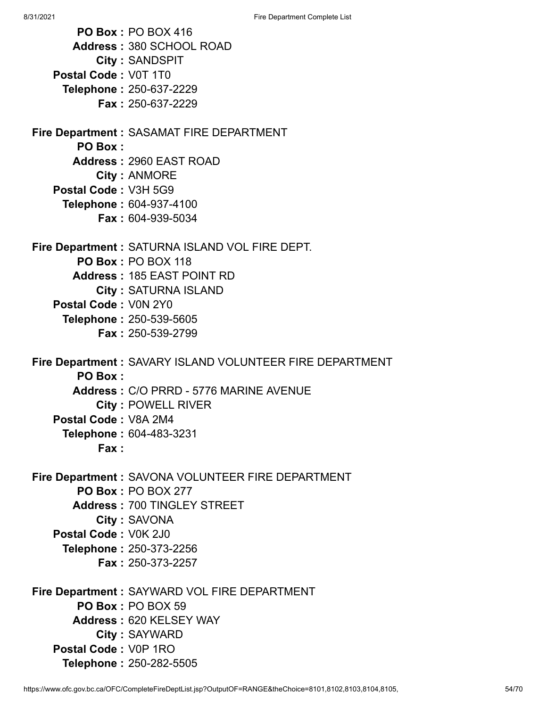8/31/2021 Fire Department Complete List **PO Box :** PO BOX 416 **Address :** 380 SCHOOL ROAD **City :** SANDSPIT **Postal Code :** V0T 1T0 **Telephone :** 250-637-2229 **Fax :** 250-637-2229 **Fire Department :** SASAMAT FIRE DEPARTMENT **PO Box : Address :** 2960 EAST ROAD **City :** ANMORE **Postal Code :** V3H 5G9 **Telephone :** 604-937-4100 **Fax :** 604-939-5034 **Fire Department :** SATURNA ISLAND VOL FIRE DEPT. **PO Box :** PO BOX 118 **Address :** 185 EAST POINT RD **City :** SATURNA ISLAND **Postal Code :** V0N 2Y0 **Telephone :** 250-539-5605 **Fax :** 250-539-2799 **Fire Department :** SAVARY ISLAND VOLUNTEER FIRE DEPARTMENT **PO Box : Address :** C/O PRRD - 5776 MARINE AVENUE **City :** POWELL RIVER **Postal Code :** V8A 2M4 **Telephone :** 604-483-3231 **Fax : Fire Department :** SAVONA VOLUNTEER FIRE DEPARTMENT **PO Box :** PO BOX 277 **Address :** 700 TINGLEY STREET **City :** SAVONA **Postal Code :** V0K 2J0 **Telephone :** 250-373-2256 **Fax :** 250-373-2257 **Fire Department :** SAYWARD VOL FIRE DEPARTMENT

**PO Box :** PO BOX 59 **Address :** 620 KELSEY WAY **City :** SAYWARD **Postal Code :** V0P 1RO **Telephone :** 250-282-5505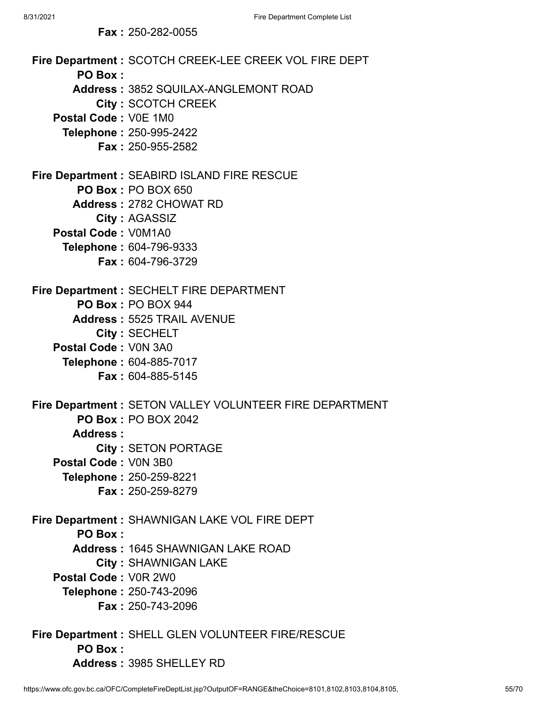**Fax :** 250-282-0055

**Fire Department :** SCOTCH CREEK-LEE CREEK VOL FIRE DEPT **PO Box : Address :** 3852 SQUILAX-ANGLEMONT ROAD **City :** SCOTCH CREEK **Postal Code :** V0E 1M0 **Telephone :** 250-995-2422 **Fax :** 250-955-2582 **Fire Department :** SEABIRD ISLAND FIRE RESCUE **PO Box :** PO BOX 650 **Address :** 2782 CHOWAT RD **City :** AGASSIZ **Postal Code :** V0M1A0 **Telephone :** 604-796-9333 **Fax :** 604-796-3729 **Fire Department :** SECHELT FIRE DEPARTMENT **PO Box :** PO BOX 944 **Address :** 5525 TRAIL AVENUE **City :** SECHELT **Postal Code :** V0N 3A0 **Telephone :** 604-885-7017 **Fax :** 604-885-5145 **Fire Department :** SETON VALLEY VOLUNTEER FIRE DEPARTMENT **PO Box :** PO BOX 2042 **Address : City :** SETON PORTAGE **Postal Code :** V0N 3B0 **Telephone :** 250-259-8221 **Fax :** 250-259-8279 **Fire Department :** SHAWNIGAN LAKE VOL FIRE DEPT **PO Box : Address :** 1645 SHAWNIGAN LAKE ROAD **City :** SHAWNIGAN LAKE **Postal Code :** V0R 2W0 **Telephone :** 250-743-2096 **Fax :** 250-743-2096 **Fire Department :** SHELL GLEN VOLUNTEER FIRE/RESCUE **PO Box : Address :** 3985 SHELLEY RD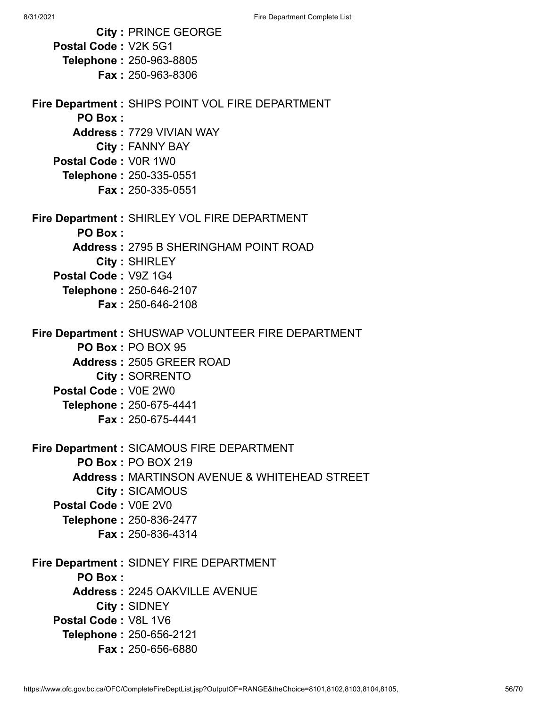|                      | <b>City: PRINCE GEORGE</b>                              |
|----------------------|---------------------------------------------------------|
| Postal Code: V2K 5G1 |                                                         |
|                      | <b>Telephone: 250-963-8805</b>                          |
|                      | <b>Fax: 250-963-8306</b>                                |
|                      |                                                         |
|                      | Fire Department : SHIPS POINT VOL FIRE DEPARTMENT       |
| PO Box:              |                                                         |
|                      | <b>Address: 7729 VIVIAN WAY</b>                         |
|                      | City: FANNY BAY                                         |
| Postal Code: V0R 1W0 |                                                         |
|                      | Telephone: 250-335-0551                                 |
|                      | <b>Fax: 250-335-0551</b>                                |
|                      | Fire Department : SHIRLEY VOL FIRE DEPARTMENT           |
| PO Box:              |                                                         |
|                      | <b>Address: 2795 B SHERINGHAM POINT ROAD</b>            |
|                      | City: SHIRLEY                                           |
| Postal Code: V9Z 1G4 |                                                         |
|                      | Telephone: 250-646-2107                                 |
|                      | <b>Fax: 250-646-2108</b>                                |
|                      |                                                         |
|                      | Fire Department: SHUSWAP VOLUNTEER FIRE DEPARTMENT      |
|                      | PO Box: PO BOX 95                                       |
|                      | <b>Address: 2505 GREER ROAD</b>                         |
|                      | <b>City: SORRENTO</b>                                   |
| Postal Code: V0E 2W0 |                                                         |
|                      | Telephone: 250-675-4441                                 |
|                      | <b>Fax: 250-675-4441</b>                                |
|                      |                                                         |
|                      | Fire Department : SICAMOUS FIRE DEPARTMENT              |
|                      | <b>PO Box: PO BOX 219</b>                               |
|                      | <b>Address: MARTINSON AVENUE &amp; WHITEHEAD STREET</b> |
|                      | <b>City: SICAMOUS</b>                                   |
| Postal Code: V0E 2V0 |                                                         |
|                      | Telephone: 250-836-2477                                 |
|                      | <b>Fax: 250-836-4314</b>                                |
|                      | <b>Fire Department: SIDNEY FIRE DEPARTMENT</b>          |
| <b>PO Box:</b>       |                                                         |
|                      | <b>Address: 2245 OAKVILLE AVENUE</b>                    |
|                      | City: SIDNEY                                            |
| Postal Code: V8L 1V6 |                                                         |
|                      | Telephone: 250-656-2121                                 |
|                      | <b>Fax: 250-656-6880</b>                                |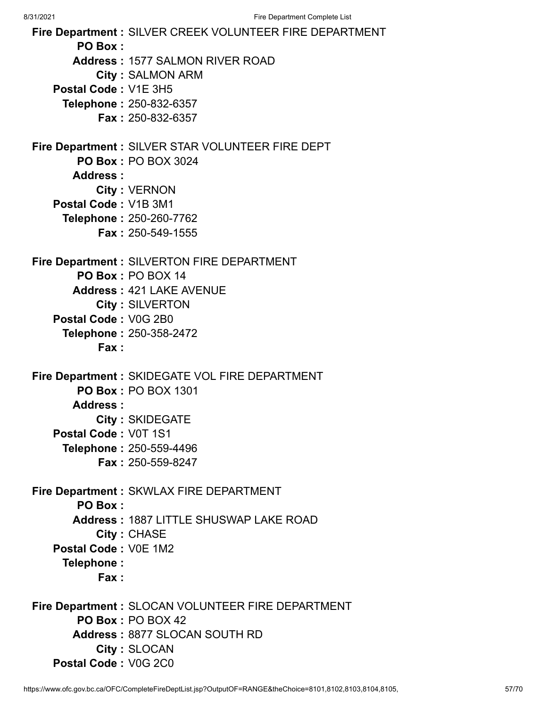**Fire Department :** SILVER CREEK VOLUNTEER FIRE DEPARTMENT **PO Box : Address :** 1577 SALMON RIVER ROAD **City :** SALMON ARM **Postal Code :** V1E 3H5 **Telephone :** 250-832-6357 **Fax :** 250-832-6357 **Fire Department :** SILVER STAR VOLUNTEER FIRE DEPT **PO Box :** PO BOX 3024 **Address : City :** VERNON **Postal Code :** V1B 3M1 **Telephone :** 250-260-7762 **Fax :** 250-549-1555 **Fire Department :** SILVERTON FIRE DEPARTMENT **PO Box :** PO BOX 14 **Address :** 421 LAKE AVENUE **City :** SILVERTON **Postal Code :** V0G 2B0 **Telephone :** 250-358-2472 **Fax : Fire Department :** SKIDEGATE VOL FIRE DEPARTMENT **PO Box :** PO BOX 1301 **Address : City :** SKIDEGATE **Postal Code :** V0T 1S1 **Telephone :** 250-559-4496 **Fax :** 250-559-8247 **Fire Department :** SKWLAX FIRE DEPARTMENT **PO Box : Address :** 1887 LITTLE SHUSWAP LAKE ROAD **City :** CHASE **Postal Code :** V0E 1M2 **Telephone : Fax : Fire Department :** SLOCAN VOLUNTEER FIRE DEPARTMENT **PO Box :** PO BOX 42 **Address :** 8877 SLOCAN SOUTH RD **City :** SLOCAN

**Postal Code :** V0G 2C0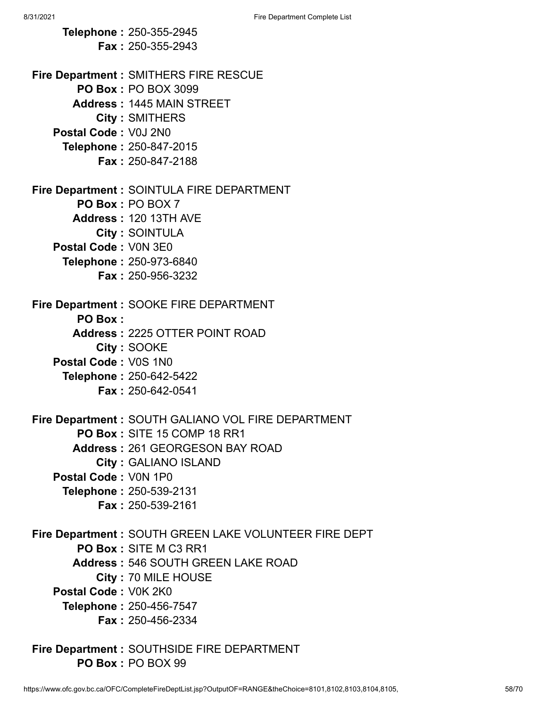**Telephone :** 250-355-2945 **Fax :** 250-355-2943 **Fire Department :** SMITHERS FIRE RESCUE **PO Box :** PO BOX 3099 **Address :** 1445 MAIN STREET **City :** SMITHERS **Postal Code :** V0J 2N0 **Telephone :** 250-847-2015 **Fax :** 250-847-2188 **Fire Department :** SOINTULA FIRE DEPARTMENT **PO Box :** PO BOX 7 **Address :** 120 13TH AVE **City :** SOINTULA **Postal Code :** V0N 3E0 **Telephone :** 250-973-6840 **Fax :** 250-956-3232 **Fire Department :** SOOKE FIRE DEPARTMENT **PO Box : Address :** 2225 OTTER POINT ROAD **City :** SOOKE **Postal Code :** V0S 1N0 **Telephone :** 250-642-5422 **Fax :** 250-642-0541 **Fire Department :** SOUTH GALIANO VOL FIRE DEPARTMENT **PO Box :** SITE 15 COMP 18 RR1 **Address :** 261 GEORGESON BAY ROAD **City :** GALIANO ISLAND **Postal Code :** V0N 1P0 **Telephone :** 250-539-2131 **Fax :** 250-539-2161 **Fire Department :** SOUTH GREEN LAKE VOLUNTEER FIRE DEPT **PO Box :** SITE M C3 RR1 **Address :** 546 SOUTH GREEN LAKE ROAD **City :** 70 MILE HOUSE **Postal Code :** V0K 2K0 **Telephone :** 250-456-7547 **Fax :** 250-456-2334 **Fire Department :** SOUTHSIDE FIRE DEPARTMENT **PO Box :** PO BOX 99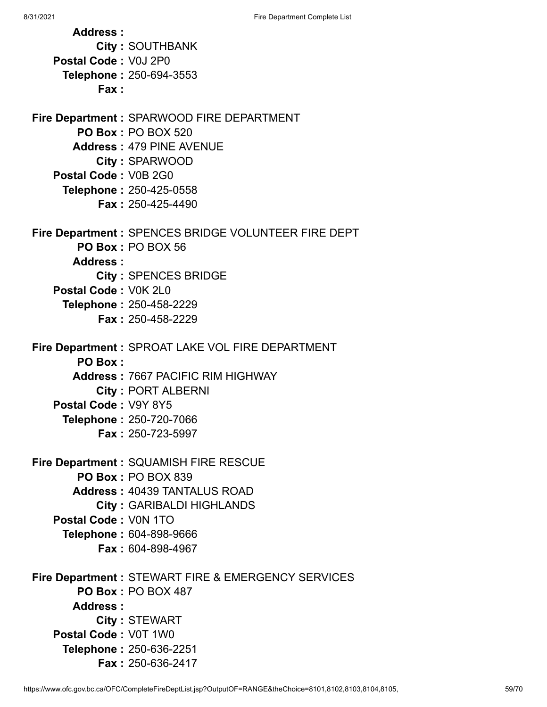**Address : City :** SOUTHBANK **Postal Code :** V0J 2P0 **Telephone :** 250-694-3553 **Fax : Fire Department :** SPARWOOD FIRE DEPARTMENT **PO Box :** PO BOX 520 **Address :** 479 PINE AVENUE **City :** SPARWOOD **Postal Code :** V0B 2G0 **Telephone :** 250-425-0558 **Fax :** 250-425-4490 **Fire Department :** SPENCES BRIDGE VOLUNTEER FIRE DEPT **PO Box :** PO BOX 56 **Address : City :** SPENCES BRIDGE **Postal Code :** V0K 2L0 **Telephone :** 250-458-2229 **Fax :** 250-458-2229 **Fire Department :** SPROAT LAKE VOL FIRE DEPARTMENT **PO Box : Address :** 7667 PACIFIC RIM HIGHWAY **City :** PORT ALBERNI **Postal Code :** V9Y 8Y5 **Telephone :** 250-720-7066 **Fax :** 250-723-5997 **Fire Department :** SQUAMISH FIRE RESCUE **PO Box :** PO BOX 839 **Address :** 40439 TANTALUS ROAD **City :** GARIBALDI HIGHLANDS **Postal Code :** V0N 1TO **Telephone :** 604-898-9666 **Fax :** 604-898-4967 **Fire Department :** STEWART FIRE & EMERGENCY SERVICES **PO Box :** PO BOX 487 **Address : City :** STEWART **Postal Code :** V0T 1W0 **Telephone :** 250-636-2251 **Fax :** 250-636-2417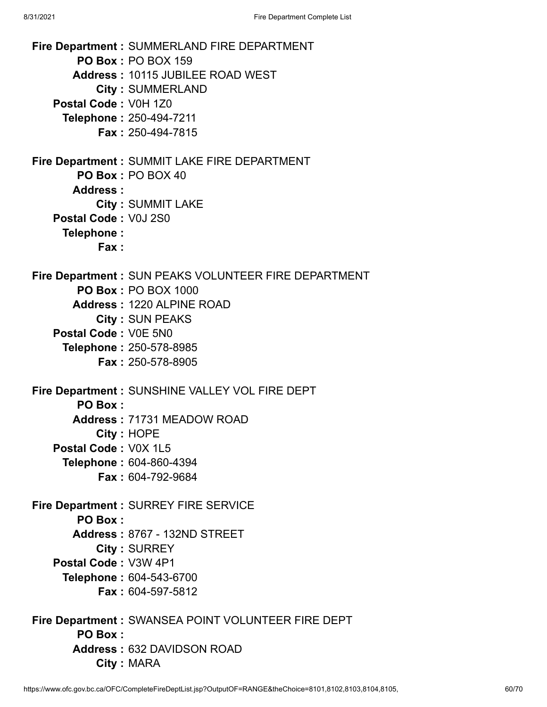**Fire Department :** SUMMERLAND FIRE DEPARTMENT **PO Box :** PO BOX 159 **Address :** 10115 JUBILEE ROAD WEST **City :** SUMMERLAND **Postal Code :** V0H 1Z0 **Telephone :** 250-494-7211 **Fax :** 250-494-7815 **Fire Department :** SUMMIT LAKE FIRE DEPARTMENT **PO Box :** PO BOX 40 **Address : City :** SUMMIT LAKE **Postal Code :** V0J 2S0 **Telephone : Fax : Fire Department :** SUN PEAKS VOLUNTEER FIRE DEPARTMENT **PO Box :** PO BOX 1000 **Address :** 1220 ALPINE ROAD **City :** SUN PEAKS **Postal Code :** V0E 5N0 **Telephone :** 250-578-8985 **Fax :** 250-578-8905 **Fire Department :** SUNSHINE VALLEY VOL FIRE DEPT **PO Box : Address :** 71731 MEADOW ROAD **City :** HOPE **Postal Code :** V0X 1L5 **Telephone :** 604-860-4394 **Fax :** 604-792-9684 **Fire Department :** SURREY FIRE SERVICE **PO Box : Address :** 8767 - 132ND STREET **City :** SURREY **Postal Code :** V3W 4P1 **Telephone :** 604-543-6700 **Fax :** 604-597-5812 **Fire Department :** SWANSEA POINT VOLUNTEER FIRE DEPT **PO Box : Address :** 632 DAVIDSON ROAD **City :** MARA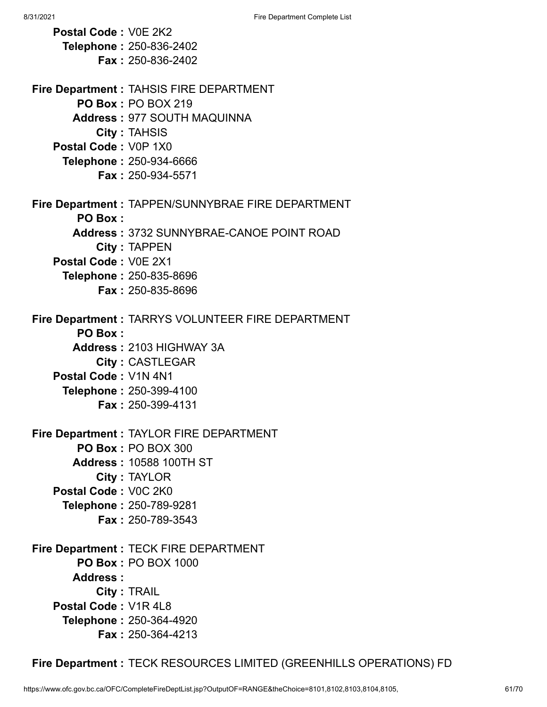**Postal Code :** V0E 2K2 **Telephone :** 250-836-2402 **Fax :** 250-836-2402 **Fire Department :** TAHSIS FIRE DEPARTMENT **PO Box :** PO BOX 219 **Address :** 977 SOUTH MAQUINNA **City :** TAHSIS **Postal Code :** V0P 1X0 **Telephone :** 250-934-6666 **Fax :** 250-934-5571 **Fire Department :** TAPPEN/SUNNYBRAE FIRE DEPARTMENT **PO Box : Address :** 3732 SUNNYBRAE-CANOE POINT ROAD **City :** TAPPEN **Postal Code :** V0E 2X1 **Telephone :** 250-835-8696 **Fax :** 250-835-8696 **Fire Department :** TARRYS VOLUNTEER FIRE DEPARTMENT **PO Box : Address :** 2103 HIGHWAY 3A **City :** CASTLEGAR **Postal Code :** V1N 4N1 **Telephone :** 250-399-4100 **Fax :** 250-399-4131 **Fire Department :** TAYLOR FIRE DEPARTMENT **PO Box :** PO BOX 300 **Address :** 10588 100TH ST **City :** TAYLOR **Postal Code :** V0C 2K0 **Telephone :** 250-789-9281 **Fax :** 250-789-3543 **Fire Department :** TECK FIRE DEPARTMENT **PO Box :** PO BOX 1000 **Address : City :** TRAIL **Postal Code :** V1R 4L8 **Telephone :** 250-364-4920 **Fax :** 250-364-4213

**Fire Department :** TECK RESOURCES LIMITED (GREENHILLS OPERATIONS) FD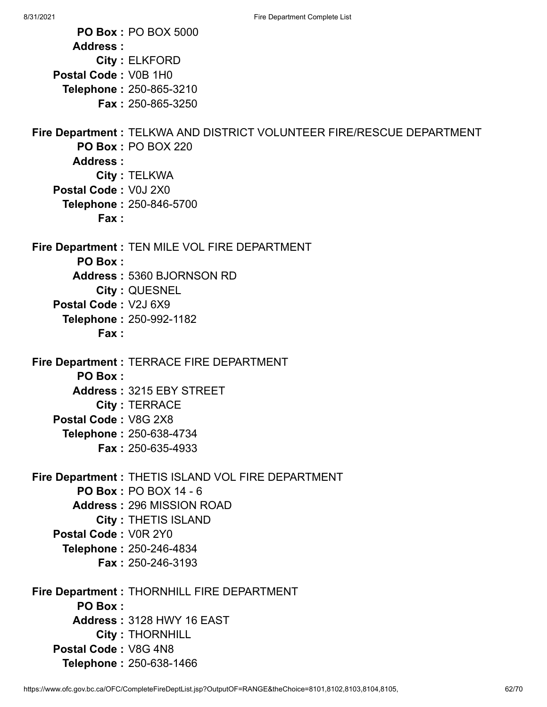**PO Box :** PO BOX 5000 **Address : City :** ELKFORD **Postal Code :** V0B 1H0 **Telephone :** 250-865-3210 **Fax :** 250-865-3250 **Fire Department :** TELKWA AND DISTRICT VOLUNTEER FIRE/RESCUE DEPARTMENT **PO Box :** PO BOX 220 **Address : City :** TELKWA **Postal Code :** V0J 2X0 **Telephone :** 250-846-5700 **Fax : Fire Department :** TEN MILE VOL FIRE DEPARTMENT **PO Box : Address :** 5360 BJORNSON RD **City :** QUESNEL **Postal Code :** V2J 6X9 **Telephone :** 250-992-1182 **Fax : Fire Department :** TERRACE FIRE DEPARTMENT **PO Box : Address :** 3215 EBY STREET **City :** TERRACE **Postal Code :** V8G 2X8 **Telephone :** 250-638-4734 **Fax :** 250-635-4933 **Fire Department :** THETIS ISLAND VOL FIRE DEPARTMENT **PO Box :** PO BOX 14 - 6 **Address :** 296 MISSION ROAD **City :** THETIS ISLAND **Postal Code :** V0R 2Y0 **Telephone :** 250-246-4834 **Fax :** 250-246-3193 **Fire Department :** THORNHILL FIRE DEPARTMENT **PO Box : Address :** 3128 HWY 16 EAST **City :** THORNHILL **Postal Code :** V8G 4N8 **Telephone :** 250-638-1466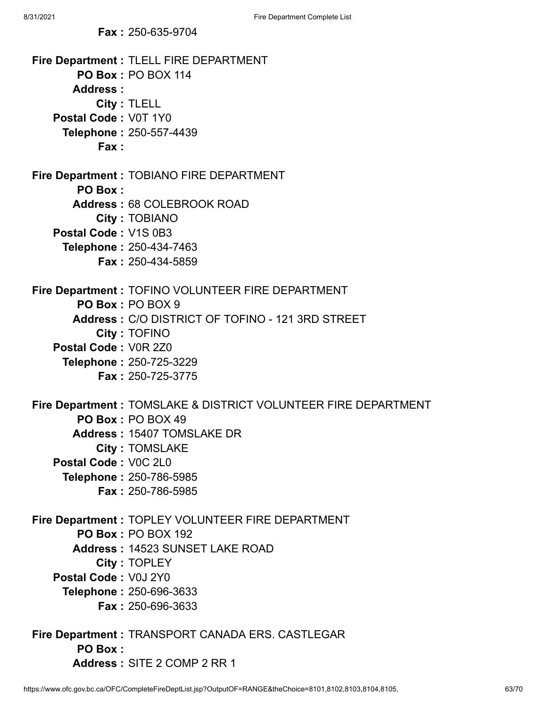**Fax :** 250-635-9704

```
Fire Department : TLELL FIRE DEPARTMENT
       PO Box : PO BOX 114
      Address :
           City : TLELL
   Postal Code : V0T 1Y0
     Telephone : 250-557-4439
           Fax :
Fire Department : TOBIANO FIRE DEPARTMENT
       PO Box :
      Address : 68 COLEBROOK ROAD
           City : TOBIANO
   Postal Code : V1S 0B3
     Telephone : 250-434-7463
           Fax : 250-434-5859
Fire Department : TOFINO VOLUNTEER FIRE DEPARTMENT
       PO Box : PO BOX 9
      Address : C/O DISTRICT OF TOFINO - 121 3RD STREET
           City : TOFINO
   Postal Code : V0R 2Z0
     Telephone : 250-725-3229
           Fax : 250-725-3775
Fire Department : TOMSLAKE & DISTRICT VOLUNTEER FIRE DEPARTMENT
       PO Box : PO BOX 49
      Address : 15407 TOMSLAKE DR
           City : TOMSLAKE
   Postal Code : V0C 2L0
     Telephone : 250-786-5985
           Fax : 250-786-5985
Fire Department : TOPLEY VOLUNTEER FIRE DEPARTMENT
       PO Box : PO BOX 192
      Address : 14523 SUNSET LAKE ROAD
           City : TOPLEY
   Postal Code : V0J 2Y0
     Telephone : 250-696-3633
           Fax : 250-696-3633
Fire Department : TRANSPORT CANADA ERS. CASTLEGAR
       PO Box :
      Address : SITE 2 COMP 2 RR 1
```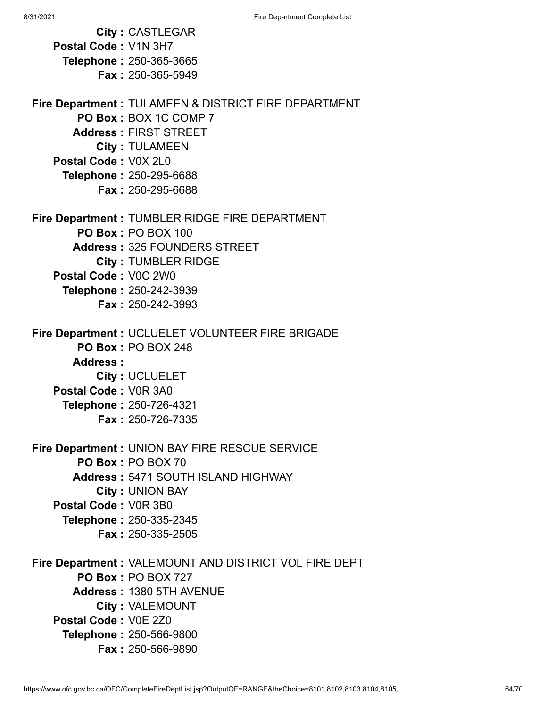8/31/2021 **Fire Department Complete List City :** CASTLEGAR **Postal Code :** V1N 3H7 **Telephone :** 250-365-3665 **Fax :** 250-365-5949 **Fire Department :** TULAMEEN & DISTRICT FIRE DEPARTMENT **PO Box :** BOX 1C COMP 7 **Address :** FIRST STREET **City :** TULAMEEN **Postal Code :** V0X 2L0 **Telephone :** 250-295-6688 **Fax :** 250-295-6688 **Fire Department :** TUMBLER RIDGE FIRE DEPARTMENT **PO Box :** PO BOX 100 **Address :** 325 FOUNDERS STREET **City :** TUMBLER RIDGE **Postal Code :** V0C 2W0 **Telephone :** 250-242-3939 **Fax :** 250-242-3993 **Fire Department :** UCLUELET VOLUNTEER FIRE BRIGADE **PO Box :** PO BOX 248 **Address : City :** UCLUELET **Postal Code :** V0R 3A0 **Telephone :** 250-726-4321 **Fax :** 250-726-7335 **Fire Department :** UNION BAY FIRE RESCUE SERVICE **PO Box :** PO BOX 70 **Address :** 5471 SOUTH ISLAND HIGHWAY **City :** UNION BAY **Postal Code :** V0R 3B0 **Telephone :** 250-335-2345 **Fax :** 250-335-2505 **Fire Department :** VALEMOUNT AND DISTRICT VOL FIRE DEPT **PO Box :** PO BOX 727 **Address :** 1380 5TH AVENUE **City :** VALEMOUNT **Postal Code :** V0E 2Z0

**Telephone :** 250-566-9800

**Fax :** 250-566-9890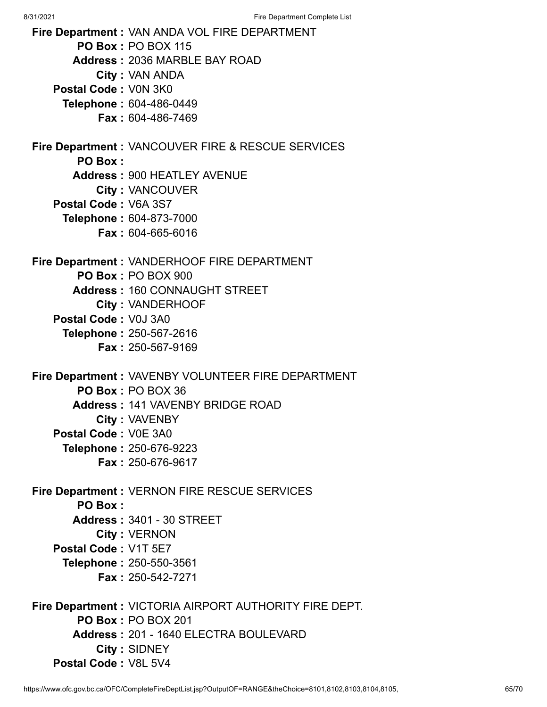8/31/2021 Fire Department Complete List **Fire Department :** VAN ANDA VOL FIRE DEPARTMENT **PO Box :** PO BOX 115 **Address :** 2036 MARBLE BAY ROAD **City :** VAN ANDA **Postal Code :** V0N 3K0 **Telephone :** 604-486-0449 **Fax :** 604-486-7469 **Fire Department :** VANCOUVER FIRE & RESCUE SERVICES **PO Box : Address :** 900 HEATLEY AVENUE **City :** VANCOUVER **Postal Code :** V6A 3S7 **Telephone :** 604-873-7000 **Fax :** 604-665-6016 **Fire Department :** VANDERHOOF FIRE DEPARTMENT **PO Box :** PO BOX 900 **Address :** 160 CONNAUGHT STREET **City :** VANDERHOOF **Postal Code :** V0J 3A0 **Telephone :** 250-567-2616 **Fax :** 250-567-9169 **Fire Department :** VAVENBY VOLUNTEER FIRE DEPARTMENT **PO Box :** PO BOX 36 **Address :** 141 VAVENBY BRIDGE ROAD **City :** VAVENBY **Postal Code :** V0E 3A0 **Telephone :** 250-676-9223 **Fax :** 250-676-9617 **Fire Department :** VERNON FIRE RESCUE SERVICES **PO Box : Address :** 3401 - 30 STREET **City :** VERNON **Postal Code :** V1T 5E7 **Telephone :** 250-550-3561 **Fax :** 250-542-7271 **Fire Department :** VICTORIA AIRPORT AUTHORITY FIRE DEPT.

**PO Box :** PO BOX 201 **Address :** 201 - 1640 ELECTRA BOULEVARD **City :** SIDNEY **Postal Code :** V8L 5V4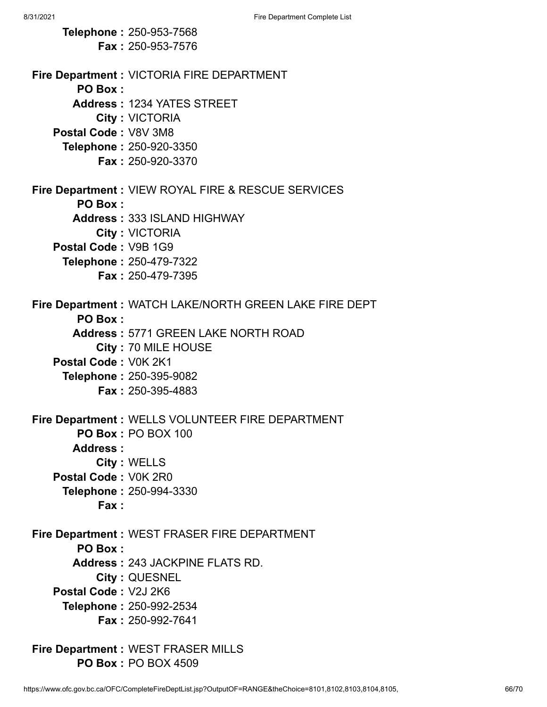**Telephone :** 250-953-7568 **Fax :** 250-953-7576 **Fire Department :** VICTORIA FIRE DEPARTMENT **PO Box : Address :** 1234 YATES STREET **City :** VICTORIA **Postal Code :** V8V 3M8 **Telephone :** 250-920-3350 **Fax :** 250-920-3370 **Fire Department :** VIEW ROYAL FIRE & RESCUE SERVICES **PO Box : Address :** 333 ISLAND HIGHWAY **City :** VICTORIA **Postal Code :** V9B 1G9 **Telephone :** 250-479-7322 **Fax :** 250-479-7395 **Fire Department :** WATCH LAKE/NORTH GREEN LAKE FIRE DEPT **PO Box : Address :** 5771 GREEN LAKE NORTH ROAD **City :** 70 MILE HOUSE **Postal Code :** V0K 2K1 **Telephone :** 250-395-9082 **Fax :** 250-395-4883 **Fire Department :** WELLS VOLUNTEER FIRE DEPARTMENT **PO Box :** PO BOX 100 **Address : City :** WELLS **Postal Code :** V0K 2R0 **Telephone :** 250-994-3330 **Fax : Fire Department :** WEST FRASER FIRE DEPARTMENT **PO Box : Address :** 243 JACKPINE FLATS RD. **City :** QUESNEL **Postal Code :** V2J 2K6 **Telephone :** 250-992-2534 **Fax :** 250-992-7641 **Fire Department :** WEST FRASER MILLS

**PO Box :** PO BOX 4509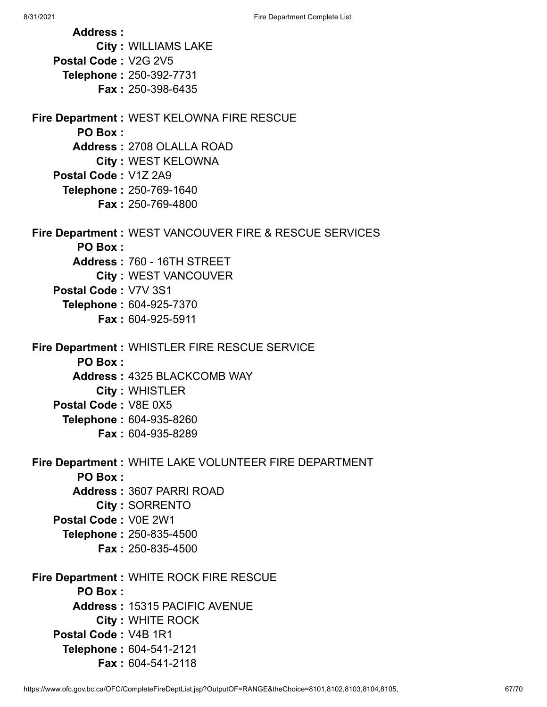**Address : City :** WILLIAMS LAKE **Postal Code :** V2G 2V5 **Telephone :** 250-392-7731 **Fax :** 250-398-6435 **Fire Department :** WEST KELOWNA FIRE RESCUE **PO Box : Address :** 2708 OLALLA ROAD **City :** WEST KELOWNA **Postal Code :** V1Z 2A9 **Telephone :** 250-769-1640 **Fax :** 250-769-4800 **Fire Department :** WEST VANCOUVER FIRE & RESCUE SERVICES **PO Box : Address :** 760 - 16TH STREET **City :** WEST VANCOUVER **Postal Code :** V7V 3S1 **Telephone :** 604-925-7370 **Fax :** 604-925-5911 **Fire Department :** WHISTLER FIRE RESCUE SERVICE **PO Box : Address :** 4325 BLACKCOMB WAY **City :** WHISTLER **Postal Code :** V8E 0X5 **Telephone :** 604-935-8260 **Fax :** 604-935-8289 **Fire Department :** WHITE LAKE VOLUNTEER FIRE DEPARTMENT **PO Box : Address :** 3607 PARRI ROAD **City :** SORRENTO **Postal Code :** V0E 2W1 **Telephone :** 250-835-4500 **Fax :** 250-835-4500 **Fire Department :** WHITE ROCK FIRE RESCUE **PO Box : Address :** 15315 PACIFIC AVENUE **City :** WHITE ROCK **Postal Code :** V4B 1R1 **Telephone :** 604-541-2121 **Fax :** 604-541-2118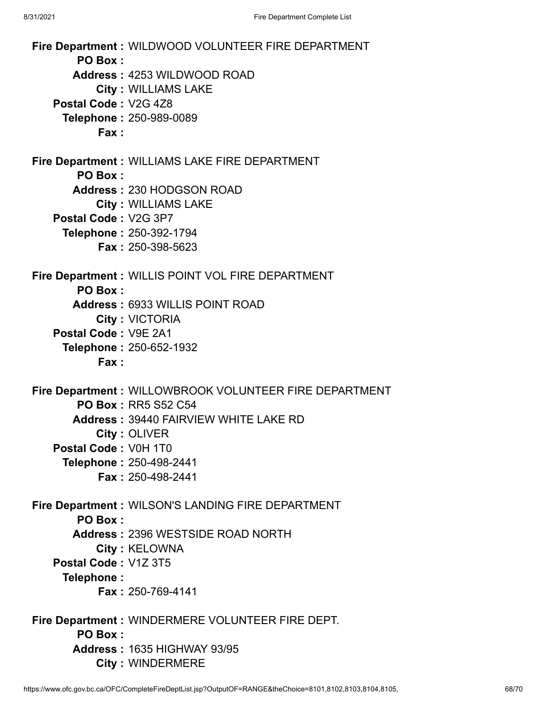**Fire Department :** WILDWOOD VOLUNTEER FIRE DEPARTMENT **PO Box : Address :** 4253 WILDWOOD ROAD **City :** WILLIAMS LAKE **Postal Code :** V2G 4Z8 **Telephone :** 250-989-0089 **Fax : Fire Department :** WILLIAMS LAKE FIRE DEPARTMENT **PO Box : Address :** 230 HODGSON ROAD **City :** WILLIAMS LAKE **Postal Code :** V2G 3P7 **Telephone :** 250-392-1794 **Fax :** 250-398-5623 **Fire Department :** WILLIS POINT VOL FIRE DEPARTMENT **PO Box : Address :** 6933 WILLIS POINT ROAD **City :** VICTORIA **Postal Code :** V9E 2A1 **Telephone :** 250-652-1932 **Fax : Fire Department :** WILLOWBROOK VOLUNTEER FIRE DEPARTMENT **PO Box :** RR5 S52 C54 **Address :** 39440 FAIRVIEW WHITE LAKE RD **City :** OLIVER **Postal Code :** V0H 1T0 **Telephone :** 250-498-2441 **Fax :** 250-498-2441 **Fire Department :** WILSON'S LANDING FIRE DEPARTMENT **PO Box : Address :** 2396 WESTSIDE ROAD NORTH **City :** KELOWNA **Postal Code :** V1Z 3T5 **Telephone : Fax :** 250-769-4141 **Fire Department :** WINDERMERE VOLUNTEER FIRE DEPT. **PO Box : Address :** 1635 HIGHWAY 93/95 **City :** WINDERMERE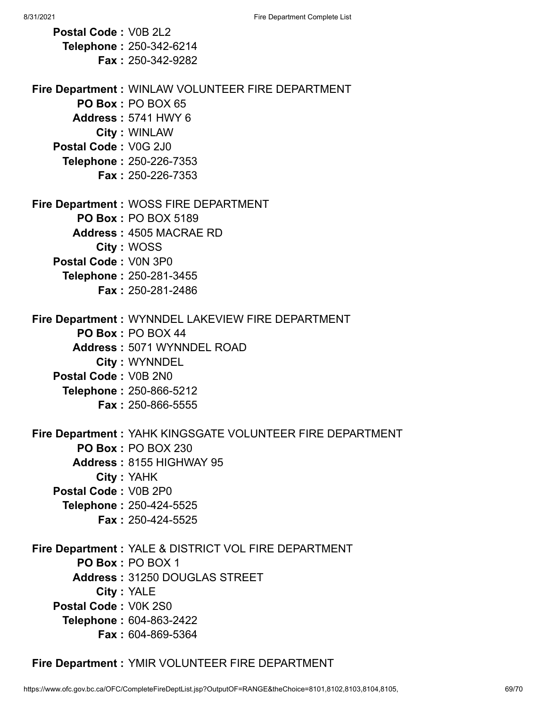| Postal Code: V0B 2L2 |                                                           |
|----------------------|-----------------------------------------------------------|
|                      | Telephone: 250-342-6214                                   |
|                      | <b>Fax: 250-342-9282</b>                                  |
|                      |                                                           |
|                      | Fire Department : WINLAW VOLUNTEER FIRE DEPARTMENT        |
|                      | PO Box: PO BOX 65                                         |
|                      | <b>Address: 5741 HWY 6</b>                                |
|                      | <b>City: WINLAW</b>                                       |
| Postal Code: V0G 2J0 |                                                           |
|                      | Telephone: 250-226-7353                                   |
|                      | <b>Fax: 250-226-7353</b>                                  |
|                      | Fire Department : WOSS FIRE DEPARTMENT                    |
|                      | <b>PO Box: PO BOX 5189</b>                                |
|                      | <b>Address: 4505 MACRAE RD</b>                            |
|                      | City: WOSS                                                |
| Postal Code: V0N 3P0 |                                                           |
|                      | Telephone: 250-281-3455                                   |
|                      | <b>Fax: 250-281-2486</b>                                  |
|                      |                                                           |
|                      | Fire Department : WYNNDEL LAKEVIEW FIRE DEPARTMENT        |
|                      | PO Box: PO BOX 44                                         |
|                      | Address: 5071 WYNNDEL ROAD                                |
|                      | <b>City: WYNNDEL</b>                                      |
| Postal Code: V0B 2N0 |                                                           |
|                      | <b>Telephone: 250-866-5212</b>                            |
|                      | <b>Fax: 250-866-5555</b>                                  |
|                      |                                                           |
|                      | Fire Department: YAHK KINGSGATE VOLUNTEER FIRE DEPARTMENT |
|                      | <b>PO Box: PO BOX 230</b>                                 |
|                      | Address: 8155 HIGHWAY 95                                  |
|                      | City: YAHK                                                |
| Postal Code: V0B 2P0 |                                                           |
|                      | Telephone: 250-424-5525                                   |
|                      | Fax: 250-424-5525                                         |
|                      | Fire Department : YALE & DISTRICT VOL FIRE DEPARTMENT     |
|                      | PO Box: PO BOX 1                                          |
|                      | Address: 31250 DOUGLAS STREET                             |
|                      | City: YALE                                                |
| Postal Code: V0K 2S0 |                                                           |
|                      | Telephone: 604-863-2422                                   |
|                      | Fax: 604-869-5364                                         |

**Fire Department :** YMIR VOLUNTEER FIRE DEPARTMENT